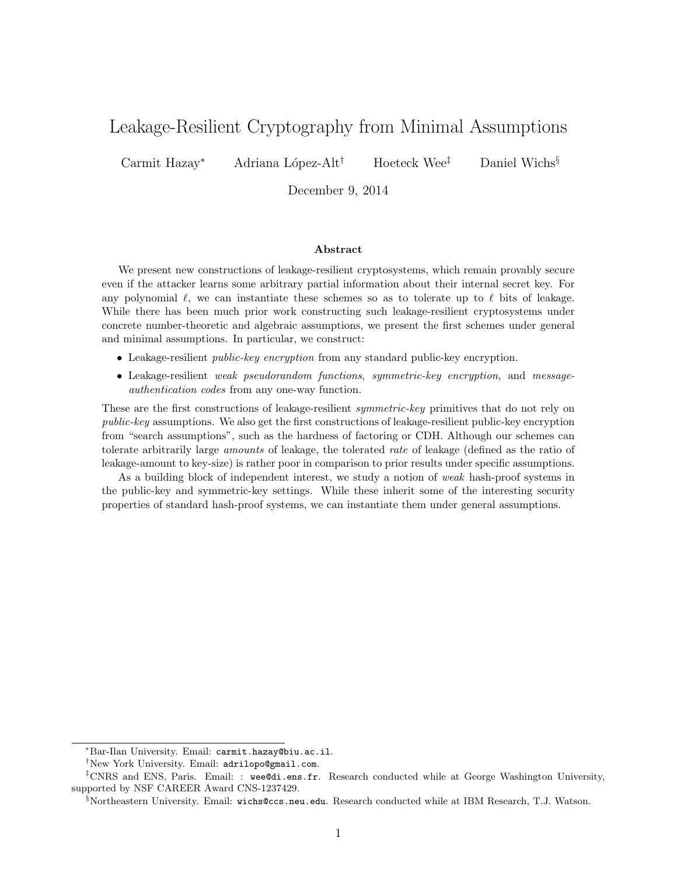# Leakage-Resilient Cryptography from Minimal Assumptions

Carmit Hazay*<sup>∗</sup>* Adriana L´opez-Alt*†* Hoeteck Wee*‡* Daniel Wichs*§*

December 9, 2014

#### **Abstract**

We present new constructions of leakage-resilient cryptosystems, which remain provably secure even if the attacker learns some arbitrary partial information about their internal secret key. For any polynomial  $\ell$ , we can instantiate these schemes so as to tolerate up to  $\ell$  bits of leakage. While there has been much prior work constructing such leakage-resilient cryptosystems under concrete number-theoretic and algebraic assumptions, we present the first schemes under general and minimal assumptions. In particular, we construct:

- *•* Leakage-resilient *public-key encryption* from any standard public-key encryption.
- *•* Leakage-resilient *weak pseudorandom functions*, *symmetric-key encryption*, and *messageauthentication codes* from any one-way function.

These are the first constructions of leakage-resilient *symmetric-key* primitives that do not rely on *public-key* assumptions. We also get the first constructions of leakage-resilient public-key encryption from "search assumptions", such as the hardness of factoring or CDH. Although our schemes can tolerate arbitrarily large *amounts* of leakage, the tolerated *rate* of leakage (defined as the ratio of leakage-amount to key-size) is rather poor in comparison to prior results under specific assumptions.

As a building block of independent interest, we study a notion of *weak* hash-proof systems in the public-key and symmetric-key settings. While these inherit some of the interesting security properties of standard hash-proof systems, we can instantiate them under general assumptions.

*<sup>∗</sup>*Bar-Ilan University. Email: carmit.hazay@biu.ac.il.

*<sup>†</sup>*New York University. Email: adrilopo@gmail.com.

<sup>&</sup>lt;sup>‡</sup>CNRS and ENS, Paris. Email: : wee@di.ens.fr. Research conducted while at George Washington University, supported by NSF CAREER Award CNS-1237429.

*<sup>§</sup>*Northeastern University. Email: wichs@ccs.neu.edu. Research conducted while at IBM Research, T.J. Watson.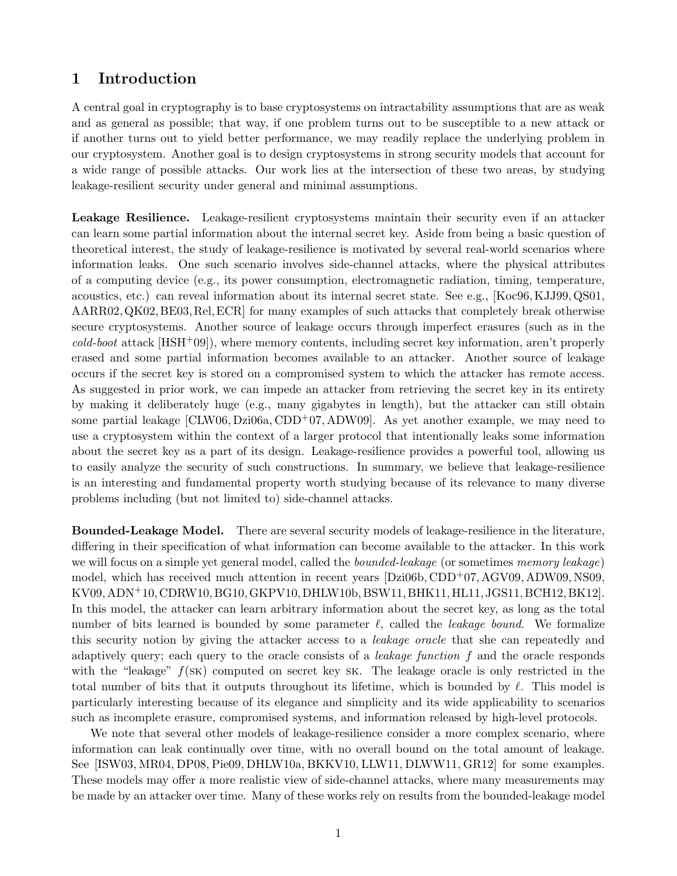# **1 Introduction**

A central goal in cryptography is to base cryptosystems on intractability assumptions that are as weak and as general as possible; that way, if one problem turns out to be susceptible to a new attack or if another turns out to yield better performance, we may readily replace the underlying problem in our cryptosystem. Another goal is to design cryptosystems in strong security models that account for a wide range of possible attacks. Our work lies at the intersection of these two areas, by studying leakage-resilient security under general and minimal assumptions.

Leakage Resilience. Leakage-resilient cryptosystems maintain their security even if an attacker can learn some partial information about the internal secret key. Aside from being a basic question of theoretical interest, the study of leakage-resilience is motivated by several real-world scenarios where information leaks. One such scenario involves side-channel attacks, where the physical attributes of a computing device (e.g., its power consumption, electromagnetic radiation, timing, temperature, acoustics, etc.) can reveal information about its internal secret state. See e.g., [Koc96,KJJ99,QS01, AARR02,QK02,BE03,Rel,ECR] for many examples of such attacks that completely break otherwise secure cryptosystems. Another source of leakage occurs through imperfect erasures (such as in the *cold-boot* attack [HSH+09]), where memory contents, including secret key information, aren't properly erased and some partial information becomes available to an attacker. Another source of leakage occurs if the secret key is stored on a compromised system to which the attacker has remote access. As suggested in prior work, we can impede an attacker from retrieving the secret key in its entirety by making it deliberately huge (e.g., many gigabytes in length), but the attacker can still obtain some partial leakage  $[CLW06, Dzi06a, CDD<sup>+</sup>07, ADW09]$ . As yet another example, we may need to use a cryptosystem within the context of a larger protocol that intentionally leaks some information about the secret key as a part of its design. Leakage-resilience provides a powerful tool, allowing us to easily analyze the security of such constructions. In summary, we believe that leakage-resilience is an interesting and fundamental property worth studying because of its relevance to many diverse problems including (but not limited to) side-channel attacks.

**Bounded-Leakage Model.** There are several security models of leakage-resilience in the literature, differing in their specification of what information can become available to the attacker. In this work we will focus on a simple yet general model, called the *bounded-leakage* (or sometimes *memory leakage*) model, which has received much attention in recent years [Dzi06b, CDD<sup>+</sup>07, AGV09, ADW09, NS09, KV09, ADN<sup>+</sup>10, CDRW10, BG10, GKPV10, DHLW10b, BSW11, BHK11, HL11, JGS11, BCH12, BK12]. In this model, the attacker can learn arbitrary information about the secret key, as long as the total number of bits learned is bounded by some parameter *ℓ*, called the *leakage bound*. We formalize this security notion by giving the attacker access to a *leakage oracle* that she can repeatedly and adaptively query; each query to the oracle consists of a *leakage function f* and the oracle responds with the "leakage"  $f(SK)$  computed on secret key SK. The leakage oracle is only restricted in the total number of bits that it outputs throughout its lifetime, which is bounded by *ℓ*. This model is particularly interesting because of its elegance and simplicity and its wide applicability to scenarios such as incomplete erasure, compromised systems, and information released by high-level protocols.

We note that several other models of leakage-resilience consider a more complex scenario, where information can leak continually over time, with no overall bound on the total amount of leakage. See [ISW03, MR04, DP08, Pie09, DHLW10a, BKKV10, LLW11, DLWW11, GR12] for some examples. These models may offer a more realistic view of side-channel attacks, where many measurements may be made by an attacker over time. Many of these works rely on results from the bounded-leakage model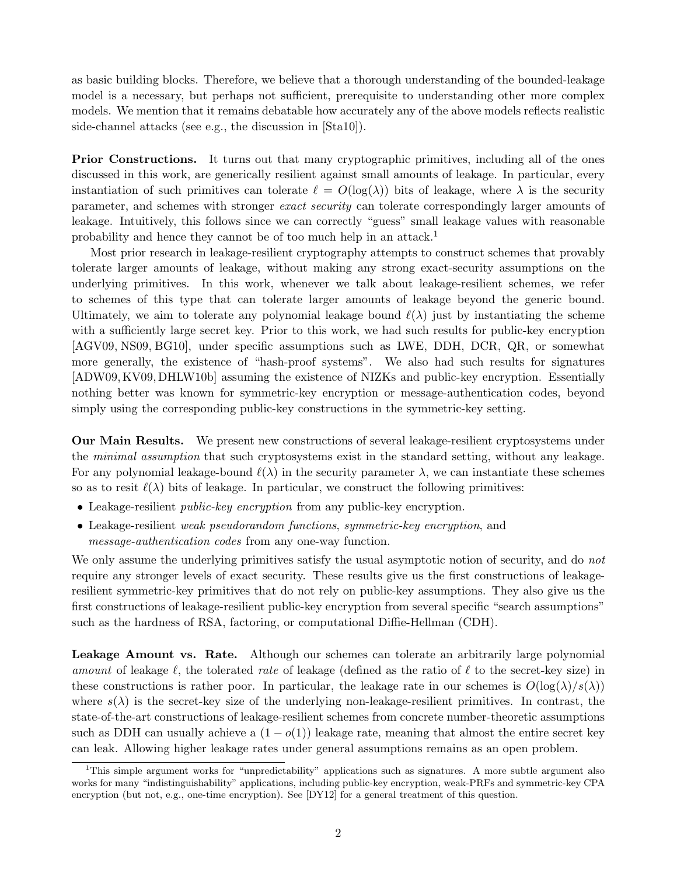as basic building blocks. Therefore, we believe that a thorough understanding of the bounded-leakage model is a necessary, but perhaps not sufficient, prerequisite to understanding other more complex models. We mention that it remains debatable how accurately any of the above models reflects realistic side-channel attacks (see e.g., the discussion in [Sta10]).

**Prior Constructions.** It turns out that many cryptographic primitives, including all of the ones discussed in this work, are generically resilient against small amounts of leakage. In particular, every instantiation of such primitives can tolerate  $\ell = O(\log(\lambda))$  bits of leakage, where  $\lambda$  is the security parameter, and schemes with stronger *exact security* can tolerate correspondingly larger amounts of leakage. Intuitively, this follows since we can correctly "guess" small leakage values with reasonable probability and hence they cannot be of too much help in an attack.<sup>1</sup>

Most prior research in leakage-resilient cryptography attempts to construct schemes that provably tolerate larger amounts of leakage, without making any strong exact-security assumptions on the underlying primitives. In this work, whenever we talk about leakage-resilient schemes, we refer to schemes of this type that can tolerate larger amounts of leakage beyond the generic bound. Ultimately, we aim to tolerate any polynomial leakage bound  $\ell(\lambda)$  just by instantiating the scheme with a sufficiently large secret key. Prior to this work, we had such results for public-key encryption [AGV09, NS09, BG10], under specific assumptions such as LWE, DDH, DCR, QR, or somewhat more generally, the existence of "hash-proof systems". We also had such results for signatures [ADW09,KV09,DHLW10b] assuming the existence of NIZKs and public-key encryption. Essentially nothing better was known for symmetric-key encryption or message-authentication codes, beyond simply using the corresponding public-key constructions in the symmetric-key setting.

**Our Main Results.** We present new constructions of several leakage-resilient cryptosystems under the *minimal assumption* that such cryptosystems exist in the standard setting, without any leakage. For any polynomial leakage-bound  $\ell(\lambda)$  in the security parameter  $\lambda$ , we can instantiate these schemes so as to resit  $\ell(\lambda)$  bits of leakage. In particular, we construct the following primitives:

- *•* Leakage-resilient *public-key encryption* from any public-key encryption.
- *•* Leakage-resilient *weak pseudorandom functions*, *symmetric-key encryption*, and *message-authentication codes* from any one-way function.

We only assume the underlying primitives satisfy the usual asymptotic notion of security, and do *not* require any stronger levels of exact security. These results give us the first constructions of leakageresilient symmetric-key primitives that do not rely on public-key assumptions. They also give us the first constructions of leakage-resilient public-key encryption from several specific "search assumptions" such as the hardness of RSA, factoring, or computational Diffie-Hellman (CDH).

Leakage Amount vs. Rate. Although our schemes can tolerate an arbitrarily large polynomial *amount* of leakage *ℓ*, the tolerated *rate* of leakage (defined as the ratio of *ℓ* to the secret-key size) in these constructions is rather poor. In particular, the leakage rate in our schemes is  $O(\log(\lambda)/s(\lambda))$ where  $s(\lambda)$  is the secret-key size of the underlying non-leakage-resilient primitives. In contrast, the state-of-the-art constructions of leakage-resilient schemes from concrete number-theoretic assumptions such as DDH can usually achieve a  $(1 - o(1))$  leakage rate, meaning that almost the entire secret key can leak. Allowing higher leakage rates under general assumptions remains as an open problem.

<sup>1</sup>This simple argument works for "unpredictability" applications such as signatures. A more subtle argument also works for many "indistinguishability" applications, including public-key encryption, weak-PRFs and symmetric-key CPA encryption (but not, e.g., one-time encryption). See [DY12] for a general treatment of this question.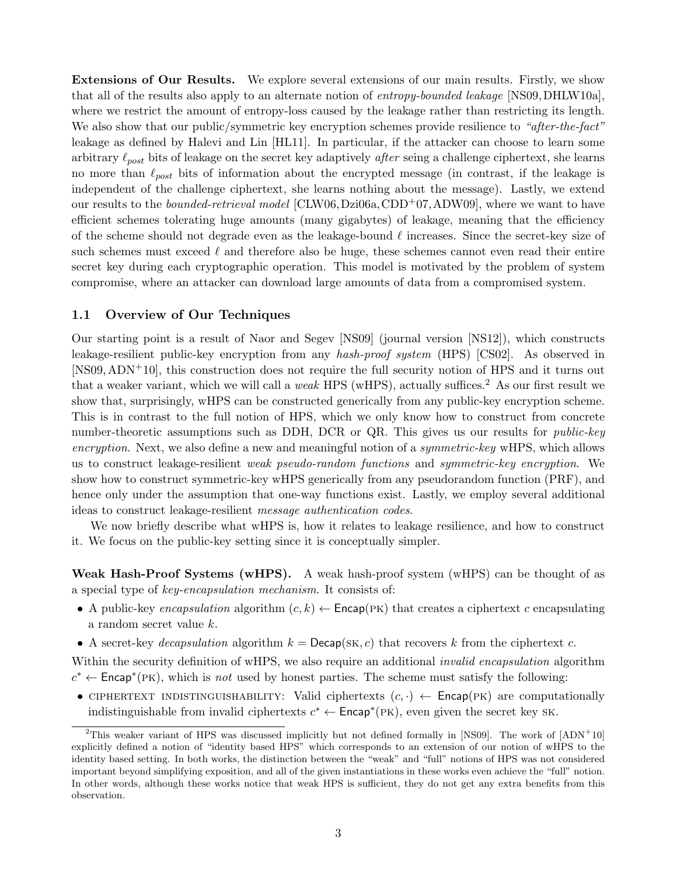**Extensions of Our Results.** We explore several extensions of our main results. Firstly, we show that all of the results also apply to an alternate notion of *entropy-bounded leakage* [NS09,DHLW10a], where we restrict the amount of entropy-loss caused by the leakage rather than restricting its length. We also show that our public/symmetric key encryption schemes provide resilience to *"after-the-fact"* leakage as defined by Halevi and Lin [HL11]. In particular, if the attacker can choose to learn some arbitrary *ℓpost* bits of leakage on the secret key adaptively *after* seing a challenge ciphertext, she learns no more than *ℓpost* bits of information about the encrypted message (in contrast, if the leakage is independent of the challenge ciphertext, she learns nothing about the message). Lastly, we extend our results to the *bounded-retrieval model* [CLW06,Dzi06a,CDD+07,ADW09], where we want to have efficient schemes tolerating huge amounts (many gigabytes) of leakage, meaning that the efficiency of the scheme should not degrade even as the leakage-bound *ℓ* increases. Since the secret-key size of such schemes must exceed  $\ell$  and therefore also be huge, these schemes cannot even read their entire secret key during each cryptographic operation. This model is motivated by the problem of system compromise, where an attacker can download large amounts of data from a compromised system.

### **1.1 Overview of Our Techniques**

Our starting point is a result of Naor and Segev [NS09] (journal version [NS12]), which constructs leakage-resilient public-key encryption from any *hash-proof system* (HPS) [CS02]. As observed in [NS09, ADN+10], this construction does not require the full security notion of HPS and it turns out that a weaker variant, which we will call a *weak* HPS (wHPS), actually suffices.<sup>2</sup> As our first result we show that, surprisingly, wHPS can be constructed generically from any public-key encryption scheme. This is in contrast to the full notion of HPS, which we only know how to construct from concrete number-theoretic assumptions such as DDH, DCR or QR. This gives us our results for *public-key encryption*. Next, we also define a new and meaningful notion of a *symmetric-key* wHPS, which allows us to construct leakage-resilient *weak pseudo-random functions* and *symmetric-key encryption*. We show how to construct symmetric-key wHPS generically from any pseudorandom function (PRF), and hence only under the assumption that one-way functions exist. Lastly, we employ several additional ideas to construct leakage-resilient *message authentication codes*.

We now briefly describe what wHPS is, how it relates to leakage resilience, and how to construct it. We focus on the public-key setting since it is conceptually simpler.

**Weak Hash-Proof Systems (wHPS).** A weak hash-proof system (wHPS) can be thought of as a special type of *key-encapsulation mechanism*. It consists of:

- A public-key *encapsulation* algorithm  $(c, k) \leftarrow$  Encap(PK) that creates a ciphertext *c* encapsulating a random secret value *k*.
- *•* A secret-key *decapsulation* algorithm *k* = Decap(sk*, c*) that recovers *k* from the ciphertext *c*.

Within the security definition of wHPS, we also require an additional *invalid encapsulation* algorithm  $c^* \leftarrow$  Encap<sup>\*</sup>(PK), which is *not* used by honest parties. The scheme must satisfy the following:

• CIPHERTEXT INDISTINGUISHABILITY: Valid ciphertexts  $(c, \cdot) \leftarrow$  Encap(PK) are computationally indistinguishable from invalid ciphertexts  $c^* \leftarrow \text{Encap}^*(PK)$ , even given the secret key SK.

<sup>&</sup>lt;sup>2</sup>This weaker variant of HPS was discussed implicitly but not defined formally in [NS09]. The work of  $[ADN^+10]$ explicitly defined a notion of "identity based HPS" which corresponds to an extension of our notion of wHPS to the identity based setting. In both works, the distinction between the "weak" and "full" notions of HPS was not considered important beyond simplifying exposition, and all of the given instantiations in these works even achieve the "full" notion. In other words, although these works notice that weak HPS is sufficient, they do not get any extra benefits from this observation.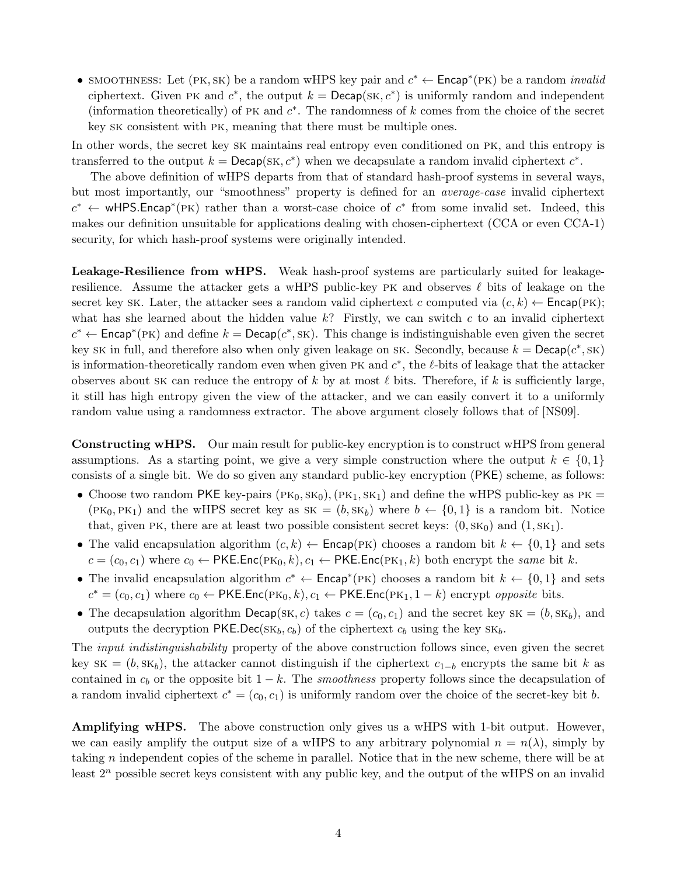*•* smoothness: Let (pk*,* sk) be a random wHPS key pair and *c <sup>∗</sup> ←* Encap*<sup>∗</sup>* (pk) be a random *invalid* ciphertext. Given PK and  $c^*$ , the output  $k = \text{Decap}(\text{SK}, c^*)$  is uniformly random and independent (information theoretically) of pk and *c ∗* . The randomness of *k* comes from the choice of the secret key sk consistent with pk, meaning that there must be multiple ones.

In other words, the secret key sk maintains real entropy even conditioned on pk, and this entropy is transferred to the output  $k = \text{Decap}(\text{SK}, c^*)$  when we decapsulate a random invalid ciphertext  $c^*$ .

The above definition of wHPS departs from that of standard hash-proof systems in several ways, but most importantly, our "smoothness" property is defined for an *average-case* invalid ciphertext  $c^* \leftarrow \text{wHPS}$ *Encap*<sup>\*</sup>(PK) rather than a worst-case choice of  $c^*$  from some invalid set. Indeed, this makes our definition unsuitable for applications dealing with chosen-ciphertext (CCA or even CCA-1) security, for which hash-proof systems were originally intended.

Leakage-Resilience from wHPS. Weak hash-proof systems are particularly suited for leakageresilience. Assume the attacker gets a wHPS public-key pk and observes *ℓ* bits of leakage on the secret key sk. Later, the attacker sees a random valid ciphertext *c* computed via  $(c, k) \leftarrow \mathsf{Encap}(\mathsf{PK})$ ; what has she learned about the hidden value *k*? Firstly, we can switch *c* to an invalid ciphertext  $c^* \leftarrow$  Encap<sup>\*</sup>(PK) and define  $k = \text{Decap}(c^*, sK)$ . This change is indistinguishable even given the secret key sk in full, and therefore also when only given leakage on sk. Secondly, because  $k = \text{Decap}(c^*, s^k)$ is information-theoretically random even when given pk and *c ∗* , the *ℓ*-bits of leakage that the attacker observes about sk can reduce the entropy of  $k$  by at most  $\ell$  bits. Therefore, if  $k$  is sufficiently large, it still has high entropy given the view of the attacker, and we can easily convert it to a uniformly random value using a randomness extractor. The above argument closely follows that of [NS09].

**Constructing wHPS.** Our main result for public-key encryption is to construct wHPS from general assumptions. As a starting point, we give a very simple construction where the output  $k \in \{0,1\}$ consists of a single bit. We do so given any standard public-key encryption (PKE) scheme, as follows:

- Choose two random PKE key-pairs  $(\text{PK}_0, \text{SK}_0), (\text{PK}_1, \text{SK}_1)$  and define the wHPS public-key as PK =  $(PK_0, PK_1)$  and the wHPS secret key as  $SK = (b, SK_b)$  where  $b \leftarrow \{0, 1\}$  is a random bit. Notice that, given PK, there are at least two possible consistent secret keys:  $(0, s_{0})$  and  $(1, s_{1})$ .
- The valid encapsulation algorithm  $(c, k) \leftarrow$  Encap(PK) chooses a random bit  $k \leftarrow \{0, 1\}$  and sets  $c = (c_0, c_1)$  where  $c_0 \leftarrow \text{PKE}$ *.*Enc( $\text{PK}_0, k$ )*,*  $c_1 \leftarrow \text{PKE}$ *.Enc*( $\text{PK}_1, k$ ) both encrypt the *same* bit *k*.
- The invalid encapsulation algorithm  $c^* \leftarrow \text{Encap}^*(PK)$  chooses a random bit  $k \leftarrow \{0, 1\}$  and sets  $c^* = (c_0, c_1)$  where  $c_0 \leftarrow \text{PKE}$ *.Enc*( $\text{PK}_0, k$ )*, c*<sub>1</sub>  $\leftarrow \text{PKE}$ *.Enc*( $\text{PK}_1, 1 - k$ ) encrypt *opposite* bits.
- The decapsulation algorithm  $Decap(SK, c)$  takes  $c = (c_0, c_1)$  and the secret key  $SK = (b, SK_b)$ , and outputs the decryption  $PKEDec(SK_b, c_b)$  of the ciphertext  $c_b$  using the key  $SK_b$ .

The *input indistinguishability* property of the above construction follows since, even given the secret key sk =  $(b, s k_b)$ , the attacker cannot distinguish if the ciphertext  $c_{1-b}$  encrypts the same bit *k* as contained in *c<sup>b</sup>* or the opposite bit 1 *− k*. The *smoothness* property follows since the decapsulation of a random invalid ciphertext  $c^* = (c_0, c_1)$  is uniformly random over the choice of the secret-key bit *b*.

**Amplifying wHPS.** The above construction only gives us a wHPS with 1-bit output. However, we can easily amplify the output size of a wHPS to any arbitrary polynomial  $n = n(\lambda)$ , simply by taking *n* independent copies of the scheme in parallel. Notice that in the new scheme, there will be at least  $2^n$  possible secret keys consistent with any public key, and the output of the wHPS on an invalid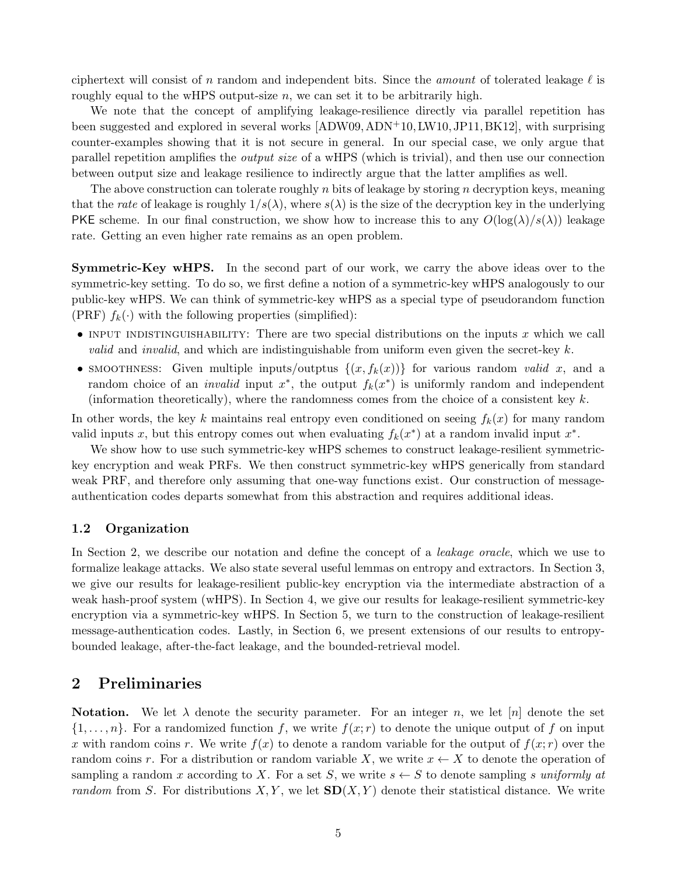ciphertext will consist of *n* random and independent bits. Since the *amount* of tolerated leakage *ℓ* is roughly equal to the wHPS output-size  $n$ , we can set it to be arbitrarily high.

We note that the concept of amplifying leakage-resilience directly via parallel repetition has been suggested and explored in several works [ADW09, ADN<sup>+</sup>10, LW10, JP11, BK12], with surprising counter-examples showing that it is not secure in general. In our special case, we only argue that parallel repetition amplifies the *output size* of a wHPS (which is trivial), and then use our connection between output size and leakage resilience to indirectly argue that the latter amplifies as well.

The above construction can tolerate roughly *n* bits of leakage by storing *n* decryption keys, meaning that the *rate* of leakage is roughly  $1/s(\lambda)$ , where  $s(\lambda)$  is the size of the decryption key in the underlying PKE scheme. In our final construction, we show how to increase this to any  $O(\log(\lambda)/s(\lambda))$  leakage rate. Getting an even higher rate remains as an open problem.

**Symmetric-Key wHPS.** In the second part of our work, we carry the above ideas over to the symmetric-key setting. To do so, we first define a notion of a symmetric-key wHPS analogously to our public-key wHPS. We can think of symmetric-key wHPS as a special type of pseudorandom function (PRF)  $f_k(\cdot)$  with the following properties (simplified):

- INPUT INDISTINGUISHABILITY: There are two special distributions on the inputs *x* which we call *valid* and *invalid*, and which are indistinguishable from uniform even given the secret-key *k*.
- smoothness: Given multiple inputs/outptus  $\{(x, f_k(x))\}$  for various random *valid x*, and a random choice of an *invalid* input  $x^*$ , the output  $f_k(x^*)$  is uniformly random and independent (information theoretically), where the randomness comes from the choice of a consistent key *k*.

In other words, the key *k* maintains real entropy even conditioned on seeing  $f_k(x)$  for many random valid inputs *x*, but this entropy comes out when evaluating  $f_k(x^*)$  at a random invalid input  $x^*$ .

We show how to use such symmetric-key wHPS schemes to construct leakage-resilient symmetrickey encryption and weak PRFs. We then construct symmetric-key wHPS generically from standard weak PRF, and therefore only assuming that one-way functions exist. Our construction of messageauthentication codes departs somewhat from this abstraction and requires additional ideas.

### **1.2 Organization**

In Section 2, we describe our notation and define the concept of a *leakage oracle*, which we use to formalize leakage attacks. We also state several useful lemmas on entropy and extractors. In Section 3, we give our results for leakage-resilient public-key encryption via the intermediate abstraction of a weak hash-proof system (wHPS). In Section 4, we give our results for leakage-resilient symmetric-key encryption via a symmetric-key wHPS. In Section 5, we turn to the construction of leakage-resilient message-authentication codes. Lastly, in Section 6, we present extensions of our results to entropybounded leakage, after-the-fact leakage, and the bounded-retrieval model.

# **2 Preliminaries**

**Notation.** We let  $\lambda$  denote the security parameter. For an integer *n*, we let  $[n]$  denote the set  $\{1, \ldots, n\}$ . For a randomized function *f*, we write  $f(x; r)$  to denote the unique output of *f* on input x with random coins r. We write  $f(x)$  to denote a random variable for the output of  $f(x; r)$  over the random coins *r*. For a distribution or random variable *X*, we write  $x \leftarrow X$  to denote the operation of sampling a random *x* according to *X*. For a set *S*, we write  $s \leftarrow S$  to denote sampling *s uniformly at random* from *S*. For distributions *X, Y* , we let **SD**(*X, Y* ) denote their statistical distance. We write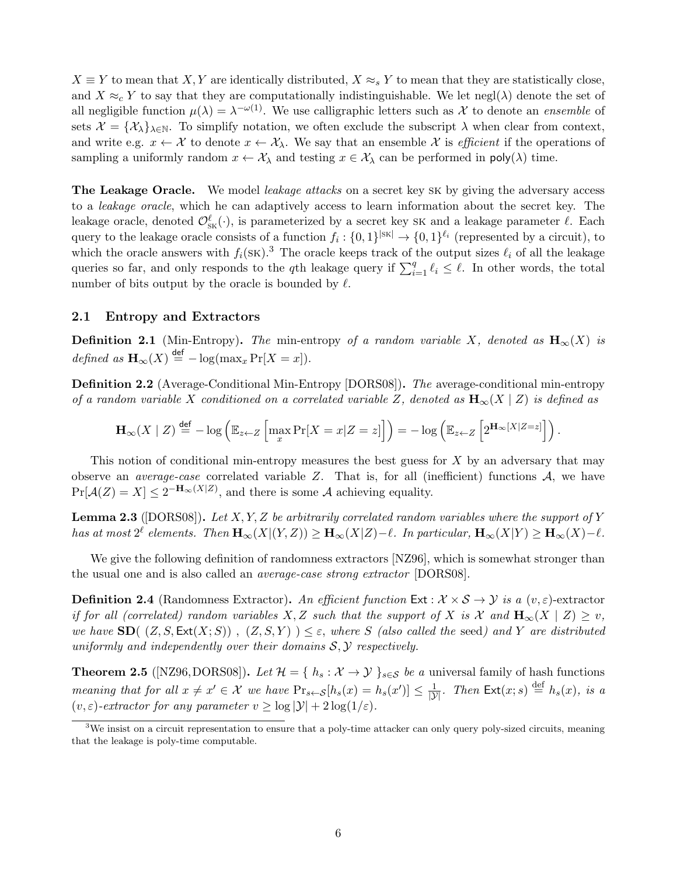$X \equiv Y$  to mean that *X, Y* are identically distributed,  $X \approx_s Y$  to mean that they are statistically close, and  $X \approx_c Y$  to say that they are computationally indistinguishable. We let negl( $\lambda$ ) denote the set of all negligible function  $\mu(\lambda) = \lambda^{-\omega(1)}$ . We use calligraphic letters such as X to denote an *ensemble* of sets  $\mathcal{X} = {\mathcal{X}_{\lambda}}_{\lambda \in \mathbb{N}}$ . To simplify notation, we often exclude the subscript  $\lambda$  when clear from context, and write e.g.  $x \leftarrow \mathcal{X}$  to denote  $x \leftarrow \mathcal{X}_{\lambda}$ . We say that an ensemble  $\mathcal{X}$  is *efficient* if the operations of sampling a uniformly random  $x \leftarrow \mathcal{X}_{\lambda}$  and testing  $x \in \mathcal{X}_{\lambda}$  can be performed in  $\text{poly}(\lambda)$  time.

**The Leakage Oracle.** We model *leakage attacks* on a secret key sk by giving the adversary access to a *leakage oracle*, which he can adaptively access to learn information about the secret key. The leakage oracle, denoted  $\mathcal{O}_{\text{SK}}^{\ell}(\cdot)$ , is parameterized by a secret key SK and a leakage parameter  $\ell$ . Each query to the leakage oracle consists of a function  $f_i: \{0,1\}^{|S_K|} \to \{0,1\}^{\ell_i}$  (represented by a circuit), to which the oracle answers with  $f_i(\text{SK})$ .<sup>3</sup> The oracle keeps track of the output sizes  $\ell_i$  of all the leakage queries so far, and only responds to the *q*th leakage query if  $\sum_{i=1}^{q} \ell_i \leq \ell$ . In other words, the total number of bits output by the oracle is bounded by *ℓ*.

### **2.1 Entropy and Extractors**

**Definition 2.1** (Min-Entropy). The min-entropy of a random variable *X*, denoted as  $H_{\infty}(X)$  is  $defined \text{ as } \mathbf{H}_{\infty}(X) \stackrel{\text{def}}{=} -\log(\max_{x} \Pr[X=x]).$ 

**Definition 2.2** (Average-Conditional Min-Entropy [DORS08])**.** *The* average-conditional min-entropy *of a random variable X conditioned on a correlated variable Z, denoted as* **H***∞*(*X | Z*) *is defined as*

$$
\mathbf{H}_{\infty}(X \mid Z) \stackrel{\text{def}}{=} -\log \left( \mathbb{E}_{z \leftarrow Z} \left[ \max_{x} \Pr[X = x | Z = z] \right] \right) = -\log \left( \mathbb{E}_{z \leftarrow Z} \left[ 2^{\mathbf{H}_{\infty}[X \mid Z = z]} \right] \right) \right).
$$

This notion of conditional min-entropy measures the best guess for *X* by an adversary that may observe an *average-case* correlated variable *Z*. That is, for all (inefficient) functions *A*, we have  $Pr[\mathcal{A}(Z) = X] \leq 2^{-\mathbf{H}_{\infty}(X|Z)}$ , and there is some *A* achieving equality.

**Lemma 2.3** ([DORS08])**.** *Let X, Y, Z be arbitrarily correlated random variables where the support of Y* has at most  $2^{\ell}$  elements. Then  $\mathbf{H}_{\infty}(X|(Y,Z)) \geq \mathbf{H}_{\infty}(X|Z) - \ell$ . In particular,  $\mathbf{H}_{\infty}(X|Y) \geq \mathbf{H}_{\infty}(X) - \ell$ .

We give the following definition of randomness extractors [NZ96], which is somewhat stronger than the usual one and is also called an *average-case strong extractor* [DORS08].

**Definition 2.4** (Randomness Extractor). *An efficient function* Ext :  $X \times S \rightarrow Y$  *is a*  $(v, \varepsilon)$ -extractor *if for all (correlated) random variables*  $X, Z$  *such that the support of*  $X$  *is*  $X$  *and*  $\mathbf{H}_{\infty}(X | Z) \geq v$ *, we have*  $\text{SD}((Z, S, \text{Ext}(X; S)), (Z, S, Y)) \leq \varepsilon$ , *where S (also called the* seed*)* and *Y* are distributed *uniformly and independently over their domains S, Y respectively.*

**Theorem 2.5** ([NZ96,DORS08]). Let  $\mathcal{H} = \{ h_s : \mathcal{X} \to \mathcal{Y} \}$ <sub>s $\in \mathcal{S}$ </sub> *be a* universal family of hash functions meaning that for all  $x \neq x' \in \mathcal{X}$  we have  $\Pr_{s \leftarrow S}[h_s(x) = h_s(x')] \leq \frac{1}{|\mathcal{Y}|}$ . Then  $\text{Ext}(x; s) \stackrel{\text{def}}{=} h_s(x)$ , is a  $(v, \varepsilon)$ -extractor for any parameter  $v \ge \log |\mathcal{Y}| + 2 \log(1/\varepsilon)$ .

 $3$ We insist on a circuit representation to ensure that a poly-time attacker can only query poly-sized circuits, meaning that the leakage is poly-time computable.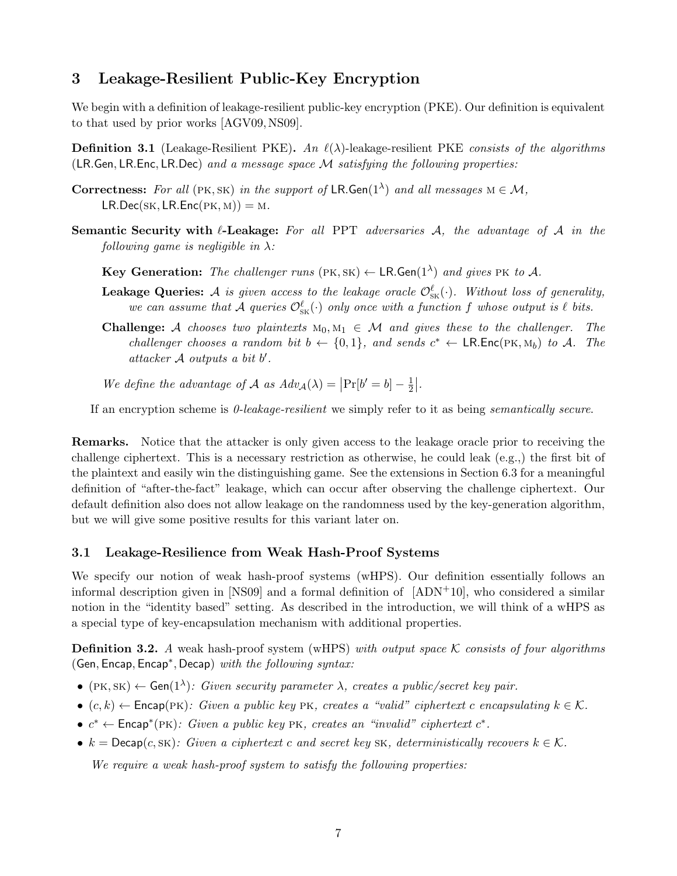# **3 Leakage-Resilient Public-Key Encryption**

We begin with a definition of leakage-resilient public-key encryption (PKE). Our definition is equivalent to that used by prior works [AGV09,NS09].

**Definition 3.1** (Leakage-Resilient PKE)**.** *An ℓ*(*λ*)-leakage-resilient PKE *consists of the algorithms* (LR*.*Gen*,* LR*.*Enc*,* LR*.*Dec) *and a message space M satisfying the following properties:*

- **Correctness:** *For all* (PK, SK) *in the support of*  $LR$ *.Gen*( $1^{\lambda}$ ) *and all messages*  $M \in M$ *,*  $LR$ *.Dec*(*SK,*  $LR$ *.Enc*(*PK, M*)) = *M.*
- **Semantic Security with** *ℓ***-Leakage:** *For all* PPT *adversaries A, the advantage of A in the following game is negligible in λ:*

**Key Generation:** The challenger runs  $(PK, SK) \leftarrow \mathsf{LR}$ . Gen $(1^{\lambda})$  and gives PK to A.

- **Leakage Queries:** *A is given access to the leakage oracle*  $\mathcal{O}_{SK}^{\ell}(\cdot)$ *. Without loss of generality, we can assume that*  $\mathcal{A}$  *queries*  $\mathcal{O}_{SK}^{\ell}(\cdot)$  *only once with a function*  $f$  *whose output is*  $\ell$  *bits.*
- **Challenge:** *A chooses two plaintexts*  $M_0, M_1 \in \mathcal{M}$  *and gives these to the challenger. The challenger chooses a random bit*  $b \leftarrow \{0, 1\}$ *, and sends*  $c^* \leftarrow \textsf{LR}.\textsf{Enc}(\textsf{PK}, \textsf{M}_b)$  *to A.* The *attacker A outputs a bit b ′ .*

*We define the advantage of A as*  $Adv_{\mathcal{A}}(\lambda) = |\Pr[b' = b] - \frac{1}{2}$  $\frac{1}{2}$ .

If an encryption scheme is *0-leakage-resilient* we simply refer to it as being *semantically secure*.

**Remarks.** Notice that the attacker is only given access to the leakage oracle prior to receiving the challenge ciphertext. This is a necessary restriction as otherwise, he could leak (e.g.,) the first bit of the plaintext and easily win the distinguishing game. See the extensions in Section 6.3 for a meaningful definition of "after-the-fact" leakage, which can occur after observing the challenge ciphertext. Our default definition also does not allow leakage on the randomness used by the key-generation algorithm, but we will give some positive results for this variant later on.

#### **3.1 Leakage-Resilience from Weak Hash-Proof Systems**

We specify our notion of weak hash-proof systems (wHPS). Our definition essentially follows an informal description given in [NS09] and a formal definition of  $[ADN+10]$ , who considered a similar notion in the "identity based" setting. As described in the introduction, we will think of a wHPS as a special type of key-encapsulation mechanism with additional properties.

**Definition 3.2.** *A* weak hash-proof system (wHPS) *with output space K consists of four algorithms* (Gen*,* Encap*,* Encap*<sup>∗</sup> ,* Decap) *with the following syntax:*

- $\bullet$  (PK, SK)  $\leftarrow$  Gen(1<sup> $\lambda$ </sup>): Given security parameter  $\lambda$ , creates a public/secret key pair.
- *•* (*c, k*) *←* Encap(pk)*: Given a public key* pk*, creates a "valid" ciphertext c encapsulating k ∈ K.*
- $c^*$  ← Encap<sup>\*</sup>(PK): Given a public key PK, creates an "invalid" ciphertext  $c^*$ .
- $\bullet$  *k* = Decap(*c*, sk): Given a ciphertext *c* and secret key SK, deterministically recovers  $k \in \mathcal{K}$ .

*We require a weak hash-proof system to satisfy the following properties:*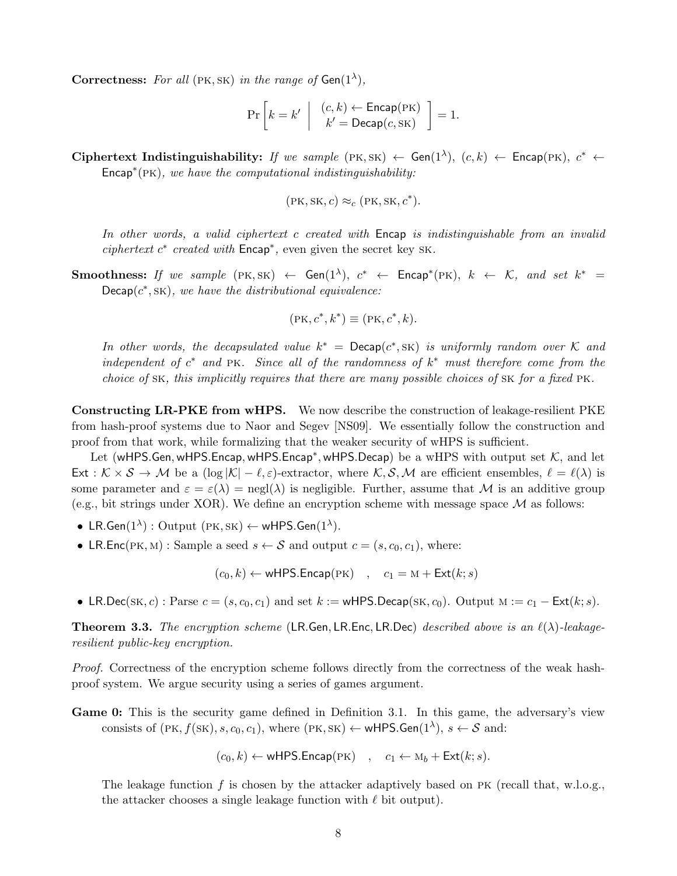**Correctness:** For all (PK, SK) in the range of  $Gen(1^{\lambda})$ ,

$$
\Pr\left[k=k' \ \left| \ \begin{array}{c} (c,k) \leftarrow \mathsf{Encap}(\mathbf{PK}) \\ k' = \mathsf{Decap}(c, \mathbf{SK}) \end{array} \right. \right] = 1.
$$

 $\textbf{Ciphertext Indistinguishability:}$  *If we sample*  $(\text{PK}, \text{SK}) \leftarrow \textbf{Gen}(1^{\lambda}), (c, k) \leftarrow \textbf{Encap}(\text{PK}), c^* \leftarrow \textbf{C}(\text{PK})$ Encap*<sup>∗</sup>* (pk)*, we have the computational indistinguishability:*

$$
(\text{PK}, \text{SK}, c) \approx_c (\text{PK}, \text{SK}, c^*).
$$

*In other words, a valid ciphertext c created with* Encap *is indistinguishable from an invalid ciphertext c ∗ created with* Encap*<sup>∗</sup> ,* even given the secret key sk*.*

**Smoothness:** If we sample  $(PK, SK) \leftarrow Gen(1^{\lambda}), c^* \leftarrow Encap^*(PK), k \leftarrow K, and set k^* =$  $Decap(c^*, sK)$ *, we have the distributional equivalence:* 

$$
(\text{PK}, c^*, k^*) \equiv (\text{PK}, c^*, k).
$$

*In other words, the decapsulated value*  $k^* = \text{Decap}(c^*, sK)$  *is uniformly random over*  $K$  *and independent of*  $c^*$  *and* PK*.* Since all of the randomness of  $k^*$  must therefore come from the *choice of* sk*, this implicitly requires that there are many possible choices of* sk *for a fixed* pk*.*

**Constructing LR-PKE from wHPS.** We now describe the construction of leakage-resilient PKE from hash-proof systems due to Naor and Segev [NS09]. We essentially follow the construction and proof from that work, while formalizing that the weaker security of wHPS is sufficient.

Let (wHPS*.*Gen*,*wHPS*.*Encap*,*wHPS*.*Encap*<sup>∗</sup> ,*wHPS*.*Decap) be a wHPS with output set *K*, and let Ext :  $K \times S \rightarrow M$  be a  $(\log |K| - \ell, \varepsilon)$ -extractor, where  $K, S, M$  are efficient ensembles,  $\ell = \ell(\lambda)$  is some parameter and  $\varepsilon = \varepsilon(\lambda) = \text{negl}(\lambda)$  is negligible. Further, assume that M is an additive group (e.g., bit strings under XOR). We define an encryption scheme with message space  $\mathcal M$  as follows:

- LR.Gen( $1^{\lambda}$ ) : Output ( $PK, SK$ ) ← wHPS.Gen( $1^{\lambda}$ ).
- LR.Enc(PK, M) : Sample a seed  $s \leftarrow S$  and output  $c = (s, c_0, c_1)$ , where:

 $(c_0, k) \leftarrow$  wHPS.Encap(PK)  $c_1 = M + \text{Ext}(k; s)$ 

• LR.Dec(sK, c) : Parse  $c = (s, c_0, c_1)$  and set  $k :=$  wHPS.Decap(sK, c<sub>0</sub>). Output  $M := c_1 - Ext(k; s)$ .

**Theorem 3.3.** *The encryption scheme* (LR*.*Gen*,* LR*.*Enc*,* LR*.*Dec) *described above is an ℓ*(*λ*)*-leakageresilient public-key encryption.*

*Proof.* Correctness of the encryption scheme follows directly from the correctness of the weak hashproof system. We argue security using a series of games argument.

**Game 0:** This is the security game defined in Definition 3.1. In this game, the adversary's view consists of  $(PK, f(SK), s, c_0, c_1)$ , where  $(PK, SK) \leftarrow$  wHPS. Gen $(1^{\lambda})$ ,  $s \leftarrow S$  and:

$$
(c_0, k) \leftarrow \text{wHPS}.\text{Encap}(\text{PK}) \quad , \quad c_1 \leftarrow M_b + \text{Ext}(k; s).
$$

The leakage function  $f$  is chosen by the attacker adaptively based on PK (recall that, w.l.o.g., the attacker chooses a single leakage function with *ℓ* bit output).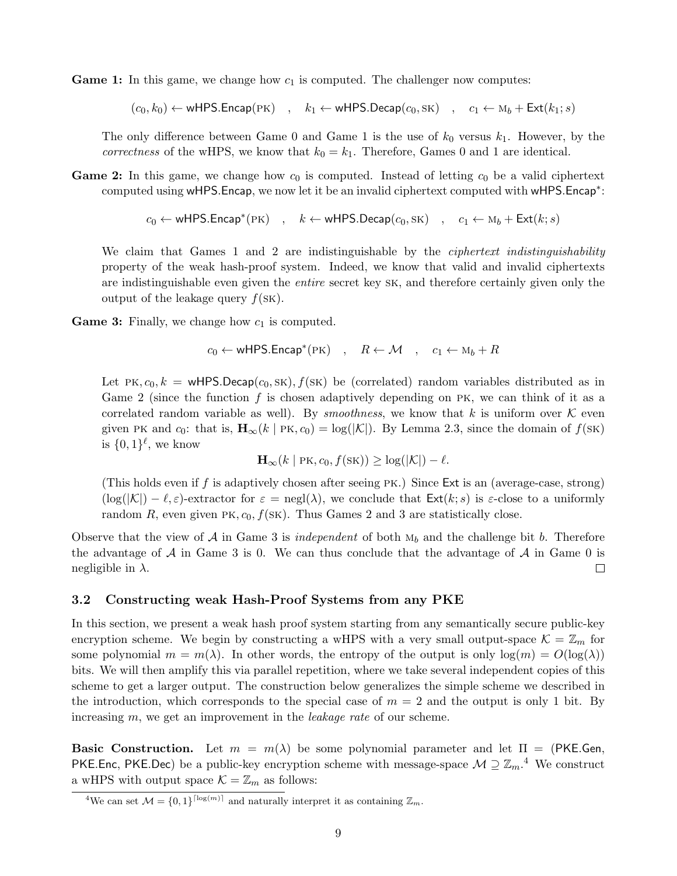**Game 1:** In this game, we change how  $c_1$  is computed. The challenger now computes:

 $(c_0, k_0) \leftarrow$  wHPS.Encap(PK) ,  $k_1 \leftarrow$  wHPS.Decap $(c_0, sK)$  ,  $c_1 \leftarrow M_b + \text{Ext}(k_1; s)$ 

The only difference between Game 0 and Game 1 is the use of  $k_0$  versus  $k_1$ . However, by the *correctness* of the wHPS, we know that  $k_0 = k_1$ . Therefore, Games 0 and 1 are identical.

**Game 2:** In this game, we change how  $c_0$  is computed. Instead of letting  $c_0$  be a valid ciphertext computed using wHPS*.*Encap, we now let it be an invalid ciphertext computed with wHPS*.*Encap*<sup>∗</sup>* :

$$
c_0 \leftarrow \text{wHPS}.\text{Encap}^*(\text{PK}) \quad , \quad k \leftarrow \text{wHPS}.\text{Decap}(c_0, \text{SK}) \quad , \quad c_1 \leftarrow M_b + \text{Ext}(k; s)
$$

We claim that Games 1 and 2 are indistinguishable by the *ciphertext indistinguishability* property of the weak hash-proof system. Indeed, we know that valid and invalid ciphertexts are indistinguishable even given the *entire* secret key sk, and therefore certainly given only the output of the leakage query  $f(SK)$ .

**Game 3:** Finally, we change how  $c_1$  is computed.

$$
c_0 \leftarrow \text{wHPS}.\text{Encap}^*(\text{PK}) \quad , \quad R \leftarrow \mathcal{M} \quad , \quad c_1 \leftarrow M_b + R
$$

Let PK,  $c_0, k =$  wHPS.Decap $(c_0, SK), f(SK)$  be (correlated) random variables distributed as in Game 2 (since the function *f* is chosen adaptively depending on pk, we can think of it as a correlated random variable as well). By *smoothness*, we know that  $k$  is uniform over  $K$  even given PK and  $c_0$ : that is,  $\mathbf{H}_{\infty}(k \mid PK, c_0) = \log(|\mathcal{K}|)$ . By Lemma 2.3, since the domain of  $f(SK)$ is  $\{0,1\}^{\ell}$ , we know

$$
\mathbf{H}_{\infty}(k \mid \mathrm{PK}, c_0, f(\mathrm{SK})) \geq \log(|\mathcal{K}|) - \ell.
$$

(This holds even if *f* is adaptively chosen after seeing pk.) Since Ext is an (average-case, strong)  $(\log(|\mathcal{K}|) - \ell, \varepsilon)$ -extractor for  $\varepsilon = \text{negl}(\lambda)$ , we conclude that  $\text{Ext}(k; s)$  is  $\varepsilon$ -close to a uniformly random *R*, even given PK,  $c_0$ ,  $f(SK)$ . Thus Games 2 and 3 are statistically close.

Observe that the view of  $A$  in Game 3 is *independent* of both  $M_b$  and the challenge bit *b*. Therefore the advantage of  $A$  in Game 3 is 0. We can thus conclude that the advantage of  $A$  in Game 0 is negligible in *λ*.  $\Box$ 

### **3.2 Constructing weak Hash-Proof Systems from any PKE**

In this section, we present a weak hash proof system starting from any semantically secure public-key encryption scheme. We begin by constructing a wHPS with a very small output-space  $\mathcal{K} = \mathbb{Z}_m$  for some polynomial  $m = m(\lambda)$ . In other words, the entropy of the output is only  $log(m) = O(log(\lambda))$ bits. We will then amplify this via parallel repetition, where we take several independent copies of this scheme to get a larger output. The construction below generalizes the simple scheme we described in the introduction, which corresponds to the special case of  $m = 2$  and the output is only 1 bit. By increasing *m*, we get an improvement in the *leakage rate* of our scheme.

**Basic Construction.** Let  $m = m(\lambda)$  be some polynomial parameter and let  $\Pi = (PKE.Gen,$ PKE*.*Enc, PKE*.Dec*) be a public-key encryption scheme with message-space  $M \supseteq \mathbb{Z}_m$ .<sup>4</sup> We construct a wHPS with output space  $\mathcal{K} = \mathbb{Z}_m$  as follows:

<sup>&</sup>lt;sup>4</sup>We can set  $\mathcal{M} = \{0, 1\}^{\lceil \log(m) \rceil}$  and naturally interpret it as containing  $\mathbb{Z}_m$ .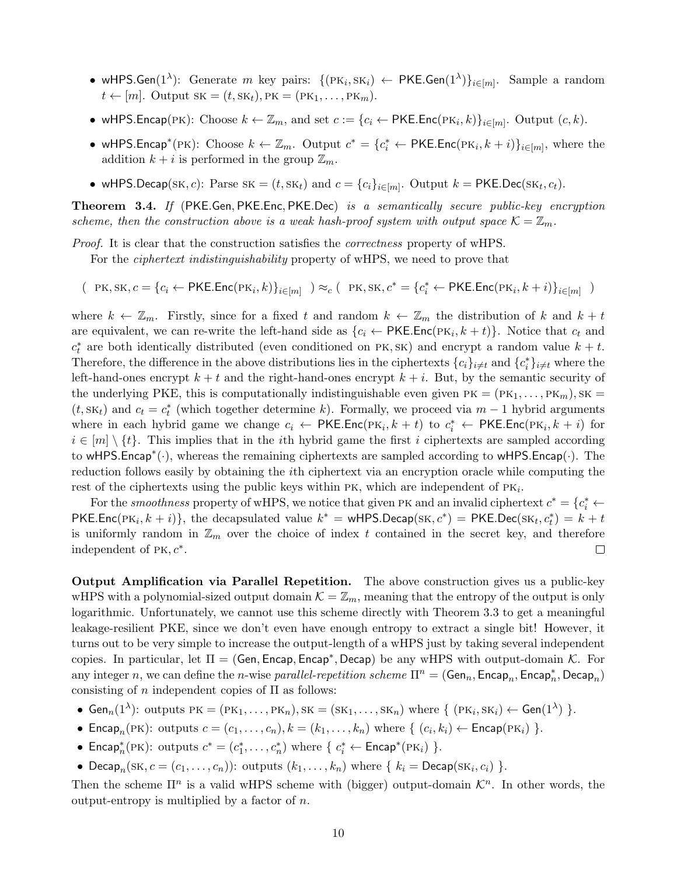- wHPS.Gen(1<sup> $\lambda$ </sup>): Generate *m* key pairs: {(PK<sub>*i*</sub>, SK<sub>*i*</sub>)  $\leftarrow$  PKE.Gen(1<sup> $\lambda$ </sup>)}<sub>*i*∈[*m*]</sub>. Sample a random  $t \leftarrow [m]$ . Output  $SK = (t, SK_t), PK = (PK_1, \ldots, PK_m)$ .
- *•* wHPS.Encap(PK): Choose  $k \leftarrow \mathbb{Z}_m$ , and set  $c := \{c_i \leftarrow \text{PKE}.\text{Enc}(\text{PK}_i, k)\}_{i \in [m]}$ . Output  $(c, k)$ .
- wHPS.Encap<sup>\*</sup>(PK): Choose  $k \leftarrow \mathbb{Z}_m$ . Output  $c^* = \{c_i^* \leftarrow \textsf{PKE}.\textsf{Enc}(\textsf{PK}_i, k + i)\}_{i \in [m]}$ , where the addition  $k + i$  is performed in the group  $\mathbb{Z}_m$ .
- *•* wHPS.Decap(SK, *c*): Parse SK =  $(t, SK_t)$  and  $c = \{c_i\}_{i \in [m]}$ . Output  $k = \text{PKE.Dec}(\text{SK}_t, c_t)$ .

**Theorem 3.4.** *If* (PKE*.*Gen*,* PKE*.*Enc*,* PKE*.*Dec) *is a semantically secure public-key encryption scheme, then the construction above is a weak hash-proof system with output space*  $K = \mathbb{Z}_m$ .

*Proof.* It is clear that the construction satisfies the *correctness* property of wHPS.

For the *ciphertext indistinguishability* property of wHPS, we need to prove that

 $(PR, SK, c = {c_i \leftarrow PKE.Enc(PK_i, k)}_{i \in [m]} ) \approx_c (PR, SK, c^* = {c_i^* \leftarrow PKE. Enc(PK_i, k + i)}_{i \in [m]} )$ 

where  $k \leftarrow \mathbb{Z}_m$ . Firstly, since for a fixed t and random  $k \leftarrow \mathbb{Z}_m$  the distribution of k and  $k + t$ are equivalent, we can re-write the left-hand side as  $\{c_i \leftarrow \text{PKE}.\text{Enc}(\text{PK}_i, k + t)\}\$ . Notice that  $c_t$  and  $c_t^*$  are both identically distributed (even conditioned on PK, SK) and encrypt a random value  $k + t$ . Therefore, the difference in the above distributions lies in the ciphertexts  $\{c_i\}_{i\neq t}$  and  $\{c_i^*\}_{i\neq t}$  where the left-hand-ones encrypt  $k + t$  and the right-hand-ones encrypt  $k + i$ . But, by the semantic security of the underlying PKE, this is computationally indistinguishable even given  $PK = (PK<sub>1</sub>, ..., PK<sub>m</sub>)$ , SK  $(t, sK_t)$  and  $c_t = c_t^*$  (which together determine *k*). Formally, we proceed via  $m-1$  hybrid arguments where in each hybrid game we change  $c_i \leftarrow PKE$ *.*Enc( $PK_i, k + t$ ) to  $c_i^* \leftarrow PKE$ *.Enc*( $PK_i, k + i$ ) for  $i \in [m] \setminus \{t\}$ . This implies that in the *i*th hybrid game the first *i* ciphertexts are sampled according to wHPS*.*Encap*<sup>∗</sup>* (*·*), whereas the remaining ciphertexts are sampled according to wHPS*.*Encap(*·*). The reduction follows easily by obtaining the *i*th ciphertext via an encryption oracle while computing the rest of the ciphertexts using the public keys within PK, which are independent of PK<sub>i</sub>.

For the *smoothness* property of wHPS, we notice that given PK and an invalid ciphertext  $c^* = \{c_i^* \leftarrow$  $PKE$ *.*Enc( $PK_i, k + i$ )}, the decapsulated value  $k^* = wHPS$ *.Decap*( $SK, c^*$ ) =  $PKE$ *.Dec*( $SK_t, c^*_t$ ) =  $k + t$ is uniformly random in  $\mathbb{Z}_m$  over the choice of index t contained in the secret key, and therefore independent of pk*, c<sup>∗</sup>* .  $\Box$ 

**Output Amplification via Parallel Repetition.** The above construction gives us a public-key wHPS with a polynomial-sized output domain  $K = \mathbb{Z}_m$ , meaning that the entropy of the output is only logarithmic. Unfortunately, we cannot use this scheme directly with Theorem 3.3 to get a meaningful leakage-resilient PKE, since we don't even have enough entropy to extract a single bit! However, it turns out to be very simple to increase the output-length of a wHPS just by taking several independent copies. In particular, let Π = (Gen*,* Encap*,* Encap*<sup>∗</sup> ,* Decap) be any wHPS with output-domain *K*. For any integer *n*, we can define the *n*-wise *parallel-repetition scheme*  $\Pi^n = (\textsf{Gen}_n, \textsf{Encap}_n, \textsf{Encap}_n^* , \textsf{Decap}_n)$ consisting of *n* independent copies of Π as follows:

- $Gen_n(1^{\lambda})$ : outputs  $PK = (PK_1, \ldots, PK_n), SK = (SK_1, \ldots, SK_n)$  where  $\{ (PK_i, SK_i) \leftarrow Gen(1^{\lambda}) \}$ .
- Encap<sub>n</sub>(PK): outputs  $c = (c_1, \ldots, c_n), k = (k_1, \ldots, k_n)$  where  $\{ (c_i, k_i) \leftarrow \text{Encap}(\text{PK}_i) \}$ .
- *•* Encap<sup>\*</sup>(PK): outputs  $c^* = (c_1^*, \ldots, c_n^*)$  where {  $c_i^* \leftarrow$  Encap<sup>\*</sup>(PK<sub>*i*</sub>)</sub>}.
- Decap<sub>*n*</sub>(SK,  $c = (c_1, \ldots, c_n)$ ): outputs  $(k_1, \ldots, k_n)$  where  $\{k_i = \text{Decap}(\text{SK}_i, c_i)\}$ .

Then the scheme  $\Pi^n$  is a valid wHPS scheme with (bigger) output-domain  $\mathcal{K}^n$ . In other words, the output-entropy is multiplied by a factor of *n*.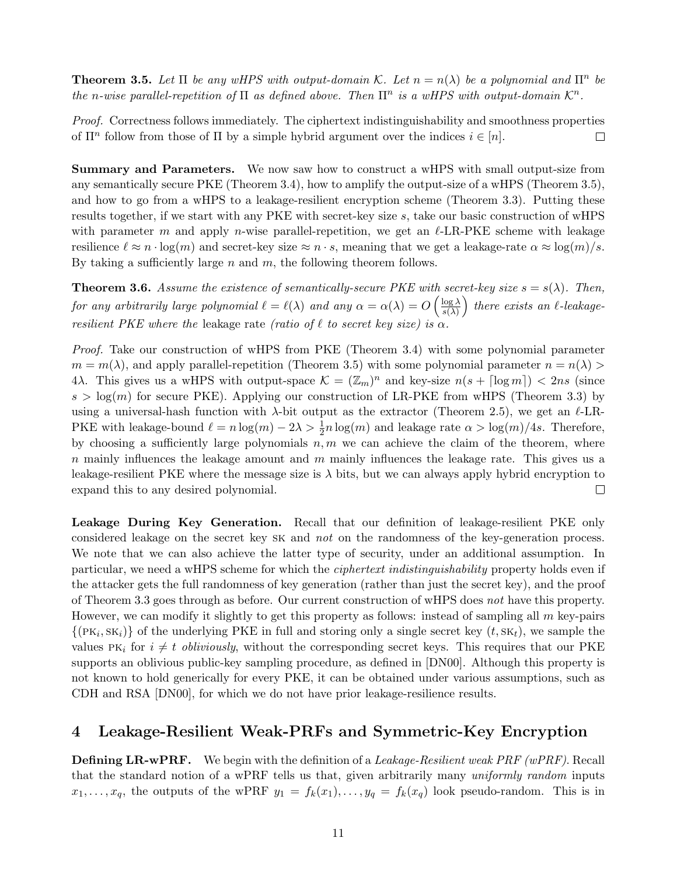**Theorem 3.5.** Let  $\Pi$  be any wHPS with output-domain K. Let  $n = n(\lambda)$  be a polynomial and  $\Pi^n$  be *the n*-wise parallel-repetition of  $\Pi$  *as defined above. Then*  $\Pi^n$  *is a wHPS with output-domain*  $K^n$ .

*Proof.* Correctness follows immediately. The ciphertext indistinguishability and smoothness properties of  $\Pi^n$  follow from those of  $\Pi$  by a simple hybrid argument over the indices  $i \in [n]$ .  $\Box$ 

**Summary and Parameters.** We now saw how to construct a wHPS with small output-size from any semantically secure PKE (Theorem 3.4), how to amplify the output-size of a wHPS (Theorem 3.5), and how to go from a wHPS to a leakage-resilient encryption scheme (Theorem 3.3). Putting these results together, if we start with any PKE with secret-key size *s*, take our basic construction of wHPS with parameter *m* and apply *n*-wise parallel-repetition, we get an *ℓ*-LR-PKE scheme with leakage resilience  $\ell \approx n \cdot \log(m)$  and secret-key size  $\approx n \cdot s$ , meaning that we get a leakage-rate  $\alpha \approx \log(m)/s$ . By taking a sufficiently large *n* and *m*, the following theorem follows.

**Theorem 3.6.** Assume the existence of semantically-secure PKE with secret-key size  $s = s(\lambda)$ . Then, *for any arbitrarily large polynomial*  $\ell = \ell(\lambda)$  *and any*  $\alpha = \alpha(\lambda) = O\left(\frac{\log \lambda}{\epsilon(\lambda)}\right)$ *s*(*λ*) ) *there exists an ℓ-leakageresilient PKE where the* leakage rate *(ratio of*  $\ell$  *to secret key size) is*  $\alpha$ *.* 

*Proof.* Take our construction of wHPS from PKE (Theorem 3.4) with some polynomial parameter  $m = m(\lambda)$ , and apply parallel-repetition (Theorem 3.5) with some polynomial parameter  $n = n(\lambda)$ 4 $\lambda$ . This gives us a wHPS with output-space  $\mathcal{K} = (\mathbb{Z}_m)^n$  and key-size  $n(s + \lceil \log m \rceil) < 2ns$  (since  $s > \log(m)$  for secure PKE). Applying our construction of LR-PKE from wHPS (Theorem 3.3) by using a universal-hash function with *λ*-bit output as the extractor (Theorem 2.5), we get an *ℓ*-LR-PKE with leakage-bound  $\ell = n \log(m) - 2\lambda > \frac{1}{2}n \log(m)$  and leakage rate  $\alpha > \log(m)/4s$ . Therefore, by choosing a sufficiently large polynomials  $n, m$  we can achieve the claim of the theorem, where *n* mainly influences the leakage amount and *m* mainly influences the leakage rate. This gives us a leakage-resilient PKE where the message size is  $\lambda$  bits, but we can always apply hybrid encryption to expand this to any desired polynomial.  $\Box$ 

**Leakage During Key Generation.** Recall that our definition of leakage-resilient PKE only considered leakage on the secret key sk and *not* on the randomness of the key-generation process. We note that we can also achieve the latter type of security, under an additional assumption. In particular, we need a wHPS scheme for which the *ciphertext indistinguishability* property holds even if the attacker gets the full randomness of key generation (rather than just the secret key), and the proof of Theorem 3.3 goes through as before. Our current construction of wHPS does *not* have this property. However, we can modify it slightly to get this property as follows: instead of sampling all *m* key-pairs  $\{(PK_i, SK_i)\}\$  of the underlying PKE in full and storing only a single secret key  $(t, SK_t)$ , we sample the values  $PK_i$  for  $i \neq t$  *obliviously*, without the corresponding secret keys. This requires that our PKE supports an oblivious public-key sampling procedure, as defined in [DN00]. Although this property is not known to hold generically for every PKE, it can be obtained under various assumptions, such as CDH and RSA [DN00], for which we do not have prior leakage-resilience results.

# **4 Leakage-Resilient Weak-PRFs and Symmetric-Key Encryption**

**Defining LR-wPRF.** We begin with the definition of a *Leakage-Resilient weak PRF (wPRF)*. Recall that the standard notion of a wPRF tells us that, given arbitrarily many *uniformly random* inputs  $x_1, \ldots, x_q$ , the outputs of the wPRF  $y_1 = f_k(x_1), \ldots, y_q = f_k(x_q)$  look pseudo-random. This is in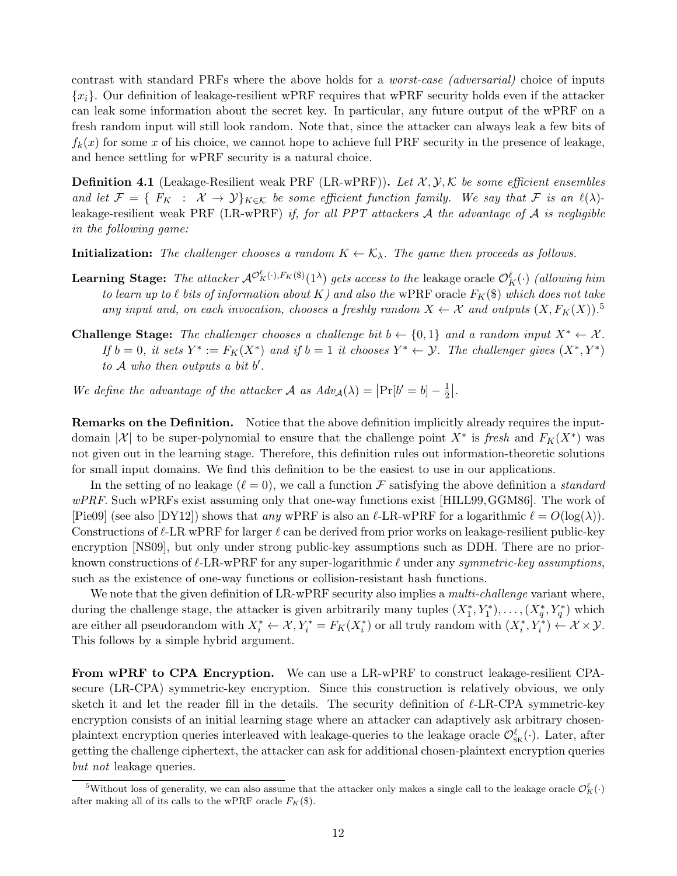contrast with standard PRFs where the above holds for a *worst-case (adversarial)* choice of inputs *{xi}*. Our definition of leakage-resilient wPRF requires that wPRF security holds even if the attacker can leak some information about the secret key. In particular, any future output of the wPRF on a fresh random input will still look random. Note that, since the attacker can always leak a few bits of  $f_k(x)$  for some x of his choice, we cannot hope to achieve full PRF security in the presence of leakage, and hence settling for wPRF security is a natural choice.

**Definition 4.1** (Leakage-Resilient weak PRF (LR-wPRF))**.** *Let X , Y, K be some efficient ensembles and let*  $\mathcal{F} = \{ F_K : \mathcal{X} \to \mathcal{Y} \}_{K \in \mathcal{K}}$  *be some efficient function family. We say that*  $\mathcal{F}$  *is an*  $\ell(\lambda)$ leakage-resilient weak PRF (LR-wPRF) *if, for all PPT attackers A the advantage of A is negligible in the following game:*

**Initialization:** *The challenger chooses a random*  $K \leftarrow \mathcal{K}_{\lambda}$ *. The game then proceeds as follows.* 

- Learning Stage: The attacker  $\mathcal{A}^{\mathcal{O}_K^{\ell}(\cdot),F_K(\$)}(1^{\lambda})$  gets access to the leakage oracle  $\mathcal{O}_K^{\ell}(\cdot)$  *(allowing him to learn up to*  $\ell$  *bits of information about*  $K$ *) and also the* wPRF oracle  $F_K(\$)$  *which does not take any input and, on each invocation, chooses a freshly random*  $X \leftarrow \mathcal{X}$  and outputs  $(X, F_K(X))$ .<sup>5</sup>
- **Challenge Stage:** The challenger chooses a challenge bit  $b \leftarrow \{0, 1\}$  and a random input  $X^* \leftarrow X$ . If  $b = 0$ , it sets  $Y^* := F_K(X^*)$  and if  $b = 1$  it chooses  $Y^* \leftarrow Y$ . The challenger gives  $(X^*, Y^*)$ *to A who then outputs a bit b ′ .*

*We define the advantage of the attacker A as*  $Adv_{\mathcal{A}}(\lambda) = |Pr[b' = b] - \frac{1}{2}$  $\frac{1}{2}$ .

**Remarks on the Definition.** Notice that the above definition implicitly already requires the inputdomain |X| to be super-polynomial to ensure that the challenge point  $X^*$  is fresh and  $F_K(X^*)$  was not given out in the learning stage. Therefore, this definition rules out information-theoretic solutions for small input domains. We find this definition to be the easiest to use in our applications.

In the setting of no leakage  $(\ell = 0)$ , we call a function *F* satisfying the above definition a *standard wPRF*. Such wPRFs exist assuming only that one-way functions exist [HILL99,GGM86]. The work of [Pie09] (see also [DY12]) shows that *any* wPRF is also an  $\ell$ -LR-wPRF for a logarithmic  $\ell = O(\log(\lambda))$ . Constructions of *ℓ*-LR wPRF for larger *ℓ* can be derived from prior works on leakage-resilient public-key encryption [NS09], but only under strong public-key assumptions such as DDH. There are no priorknown constructions of *ℓ*-LR-wPRF for any super-logarithmic *ℓ* under any *symmetric-key assumptions*, such as the existence of one-way functions or collision-resistant hash functions.

We note that the given definition of LR-wPRF security also implies a *multi-challenge* variant where, during the challenge stage, the attacker is given arbitrarily many tuples  $(X_1^*, Y_1^*), \ldots, (X_q^*, Y_q^*)$  which are either all pseudorandom with  $X_i^* \leftarrow \mathcal{X}, Y_i^* = F_K(X_i^*)$  or all truly random with  $(X_i^*, Y_i^*) \leftarrow \mathcal{X} \times \mathcal{Y}$ . This follows by a simple hybrid argument.

**From wPRF to CPA Encryption.** We can use a LR-wPRF to construct leakage-resilient CPAsecure (LR-CPA) symmetric-key encryption. Since this construction is relatively obvious, we only sketch it and let the reader fill in the details. The security definition of *ℓ*-LR-CPA symmetric-key encryption consists of an initial learning stage where an attacker can adaptively ask arbitrary chosenplaintext encryption queries interleaved with leakage-queries to the leakage oracle  $\mathcal{O}_{\rm SK}^{\ell}(\cdot)$ . Later, after getting the challenge ciphertext, the attacker can ask for additional chosen-plaintext encryption queries *but not* leakage queries.

<sup>&</sup>lt;sup>5</sup>Without loss of generality, we can also assume that the attacker only makes a single call to the leakage oracle  $\mathcal{O}_K^{\ell}(\cdot)$ after making all of its calls to the wPRF oracle  $F_K$ (\$).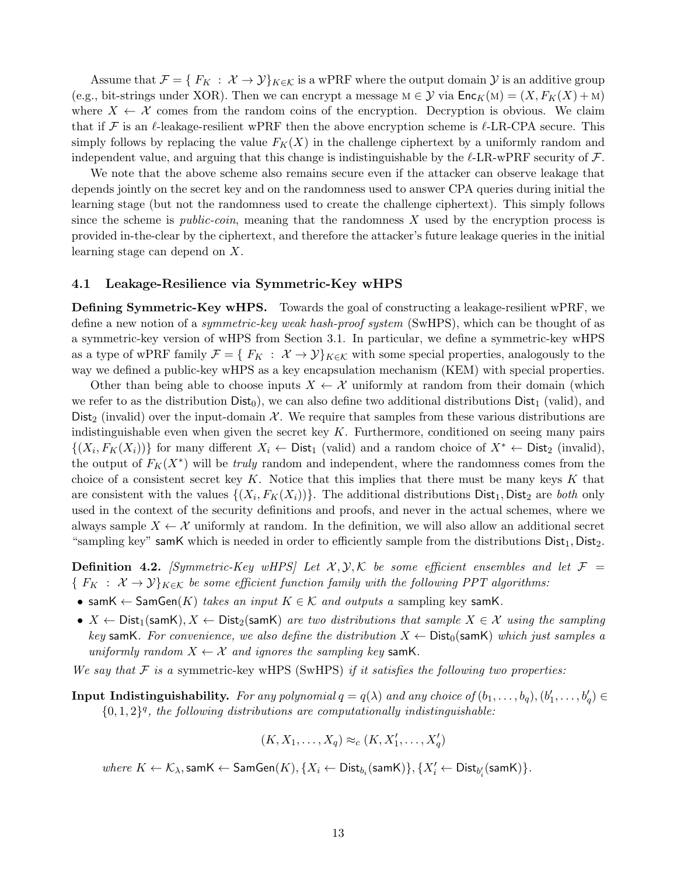Assume that  $\mathcal{F} = \{F_K : \mathcal{X} \to \mathcal{Y}\}_{K \in \mathcal{K}}$  is a wPRF where the output domain  $\mathcal{Y}$  is an additive group (e.g., bit-strings under XOR). Then we can encrypt a message  $M \in \mathcal{Y}$  via  $\mathsf{Enc}_K(M) = (X, F_K(X) + M)$ where  $X \leftarrow \mathcal{X}$  comes from the random coins of the encryption. Decryption is obvious. We claim that if *F* is an *ℓ*-leakage-resilient wPRF then the above encryption scheme is *ℓ*-LR-CPA secure. This simply follows by replacing the value  $F_K(X)$  in the challenge ciphertext by a uniformly random and independent value, and arguing that this change is indistinguishable by the *ℓ*-LR-wPRF security of *F*.

We note that the above scheme also remains secure even if the attacker can observe leakage that depends jointly on the secret key and on the randomness used to answer CPA queries during initial the learning stage (but not the randomness used to create the challenge ciphertext). This simply follows since the scheme is *public-coin*, meaning that the randomness *X* used by the encryption process is provided in-the-clear by the ciphertext, and therefore the attacker's future leakage queries in the initial learning stage can depend on *X*.

#### **4.1 Leakage-Resilience via Symmetric-Key wHPS**

**Defining Symmetric-Key wHPS.** Towards the goal of constructing a leakage-resilient wPRF, we define a new notion of a *symmetric-key weak hash-proof system* (SwHPS), which can be thought of as a symmetric-key version of wHPS from Section 3.1. In particular, we define a symmetric-key wHPS as a type of wPRF family  $\mathcal{F} = \{ F_K : \mathcal{X} \to \mathcal{Y} \}_{K \in \mathcal{K}}$  with some special properties, analogously to the way we defined a public-key wHPS as a key encapsulation mechanism (KEM) with special properties.

Other than being able to choose inputs  $X \leftarrow \mathcal{X}$  uniformly at random from their domain (which we refer to as the distribution  $Dist_0$ , we can also define two additional distributions  $Dist_1$  (valid), and Dist<sub>2</sub> (invalid) over the input-domain  $\mathcal{X}$ . We require that samples from these various distributions are indistinguishable even when given the secret key *K*. Furthermore, conditioned on seeing many pairs  $\{(X_i, F_K(X_i))\}$  for many different  $X_i \leftarrow$  Dist<sub>1</sub> (valid) and a random choice of  $X^* \leftarrow$  Dist<sub>2</sub> (invalid), the output of  $F_K(X^*)$  will be *truly* random and independent, where the randomness comes from the choice of a consistent secret key *K*. Notice that this implies that there must be many keys *K* that are consistent with the values  $\{(X_i, F_K(X_i))\}$ . The additional distributions  $Dist_1$ ,  $Dist_2$  are *both* only used in the context of the security definitions and proofs, and never in the actual schemes, where we always sample  $X \leftarrow \mathcal{X}$  uniformly at random. In the definition, we will also allow an additional secret "sampling key" samK which is needed in order to efficiently sample from the distributions  $Dist_1, Dist_2$ .

**Definition 4.2.** *[Symmetric-Key wHPS] Let*  $\mathcal{X}, \mathcal{Y}, \mathcal{K}$  *be some efficient ensembles and let*  $\mathcal{F}$  =  ${F_K : X \to Y}_{K \in K}$  *be some efficient function family with the following PPT algorithms:* 

- *•* samK *←* SamGen(*K*) *takes an input K ∈ K and outputs a* sampling key samK*.*
- $X \leftarrow \text{Dist}_1(\text{samK}), X \leftarrow \text{Dist}_2(\text{samK})$  *are two distributions that sample*  $X \in \mathcal{X}$  *using the sampling key* samK. For convenience, we also define the distribution  $X \leftarrow \text{Dist}_0(\text{samK})$  which just samples a *uniformly random*  $X \leftarrow \mathcal{X}$  *and ignores the sampling key* samK.

*We say that F is a* symmetric-key wHPS (SwHPS) *if it satisfies the following two properties:*

- **Input Indistinguishability.** For any polynomial  $q = q(\lambda)$  and any choice of  $(b_1, \ldots, b_q), (b'_1, \ldots, b'_q) \in$  $\{0,1,2\}$ <sup>*q*</sup>, the following distributions are computationally indistinguishable:
	- $(K, X_1, \ldots, X_q) \approx_c (K, X'_1, \ldots, X'_q)$

 $\textit{where } K \leftarrow \mathcal{K}_\lambda, \textsf{samK} \leftarrow \textsf{SamGen}(K), \{X_i \leftarrow \textsf{Dist}_{b_i}(\textsf{samK})\}, \{X_i' \leftarrow \textsf{Dist}_{b_i'}(\textsf{samK})\}.$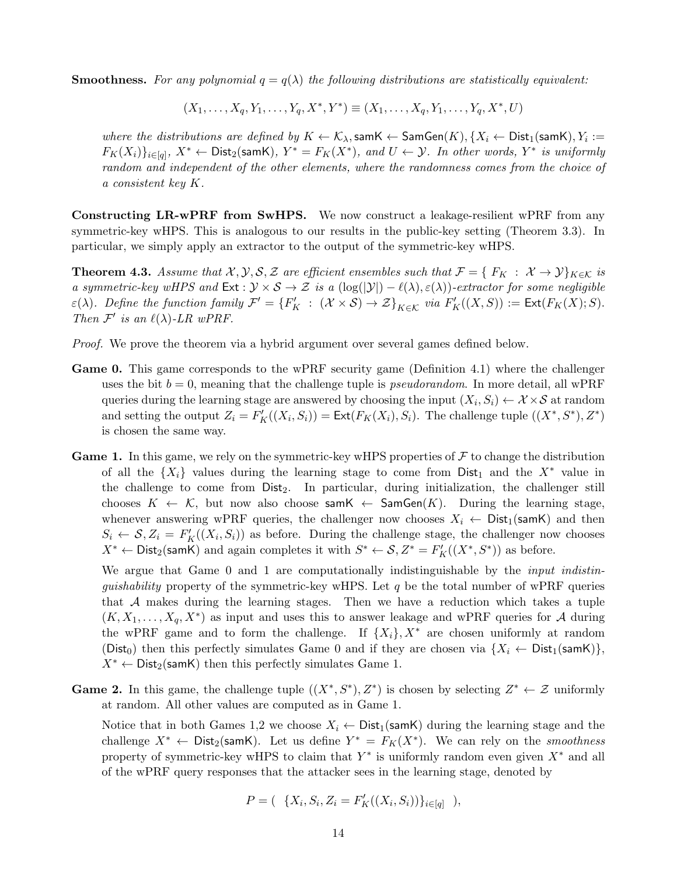**Smoothness.** For any polynomial  $q = q(\lambda)$  the following distributions are statistically equivalent:

$$
(X_1, \ldots, X_q, Y_1, \ldots, Y_q, X^*, Y^*) \equiv (X_1, \ldots, X_q, Y_1, \ldots, Y_q, X^*, U)
$$

*where the distributions are defined by*  $K \leftarrow K_\lambda$ , sam $K \leftarrow$  SamGen $(K)$ ,  $\{X_i \leftarrow$  Dist<sub>1</sub>(samK),  $Y_i :=$  $F_K(X_i)\}_{i\in[q]}, X^*\leftarrow \mathsf{Dist}_2(\mathsf{samK}), Y^*=F_K(X^*), \text{ and } U\leftarrow \mathcal{Y}.$  In other words,  $Y^*$  is uniformly *random and independent of the other elements, where the randomness comes from the choice of a consistent key K.*

**Constructing LR-wPRF from SwHPS.** We now construct a leakage-resilient wPRF from any symmetric-key wHPS. This is analogous to our results in the public-key setting (Theorem 3.3). In particular, we simply apply an extractor to the output of the symmetric-key wHPS.

**Theorem 4.3.** *Assume that*  $\mathcal{X}, \mathcal{Y}, \mathcal{S}, \mathcal{Z}$  *are efficient ensembles such that*  $\mathcal{F} = \{F_K : \mathcal{X} \to \mathcal{Y}\}_{K \in \mathcal{K}}$  *is a symmetric-key wHPS and*  $\text{Ext}: \mathcal{Y} \times \mathcal{S} \to \mathcal{Z}$  *is a*  $(\log(|\mathcal{Y}|) - \ell(\lambda), \varepsilon(\lambda))$ *-extractor for some negligible*  $\varepsilon(\lambda)$ . Define the function family  $\mathcal{F}' = \{F'_K : (\mathcal{X} \times \mathcal{S}) \to \mathcal{Z}\}_{K \in \mathcal{K}}$  via  $F'_K((X, S)) := \text{Ext}(F_K(X); S)$ . *Then*  $\mathcal{F}'$  *is an*  $\ell(\lambda)$ *-LR wPRF.* 

- *Proof.* We prove the theorem via a hybrid argument over several games defined below.
- **Game 0.** This game corresponds to the wPRF security game (Definition 4.1) where the challenger uses the bit  $b = 0$ , meaning that the challenge tuple is *pseudorandom*. In more detail, all wPRF queries during the learning stage are answered by choosing the input  $(X_i, S_i) \leftarrow X \times S$  at random and setting the output  $Z_i = F'_K((X_i, S_i)) = \text{Ext}(F_K(X_i), S_i)$ . The challenge tuple  $((X^*, S^*), Z^*)$ is chosen the same way.
- **Game 1.** In this game, we rely on the symmetric-key wHPS properties of  $\mathcal F$  to change the distribution of all the  $\{X_i\}$  values during the learning stage to come from Dist<sub>1</sub> and the  $X^*$  value in the challenge to come from Dist<sub>2</sub>. In particular, during initialization, the challenger still chooses  $K \leftarrow K$ , but now also choose sam $K \leftarrow$  SamGen $(K)$ . During the learning stage, whenever answering wPRF queries, the challenger now chooses  $X_i \leftarrow \text{Dist}_1(\text{samK})$  and then  $S_i \leftarrow S, Z_i = F'_K((X_i, S_i))$  as before. During the challenge stage, the challenger now chooses *X*<sup>\*</sup> ← Dist<sub>2</sub>(samK) and again completes it with  $S^*$  ←  $S, Z^*$  =  $F'_{K}((X^*, S^*))$  as before.

We argue that Game 0 and 1 are computationally indistinguishable by the *input indistinguishability* property of the symmetric-key wHPS. Let *q* be the total number of wPRF queries that *A* makes during the learning stages. Then we have a reduction which takes a tuple  $(K, X_1, \ldots, X_q, X^*)$  as input and uses this to answer leakage and wPRF queries for *A* during the wPRF game and to form the challenge. If  $\{X_i\}$ ,  $X^*$  are chosen uniformly at random (Dist<sub>0</sub>) then this perfectly simulates Game 0 and if they are chosen via  $\{X_i \leftarrow \text{Dist}_1(\text{samK})\},$  $X^* \leftarrow$  Dist<sub>2</sub>(samK) then this perfectly simulates Game 1.

**Game 2.** In this game, the challenge tuple  $((X^*, S^*), Z^*)$  is chosen by selecting  $Z^* \leftarrow Z$  uniformly at random. All other values are computed as in Game 1.

Notice that in both Games 1,2 we choose  $X_i \leftarrow \text{Dist}_1(\text{samK})$  during the learning stage and the challenge  $X^*$   $\leftarrow$  Dist<sub>2</sub>(samK). Let us define  $Y^* = F_K(X^*)$ . We can rely on the *smoothness* property of symmetric-key wHPS to claim that  $Y^*$  is uniformly random even given  $X^*$  and all of the wPRF query responses that the attacker sees in the learning stage, denoted by

$$
P = (\{X_i, S_i, Z_i = F'_K((X_i, S_i))\}_{i \in [q]}),
$$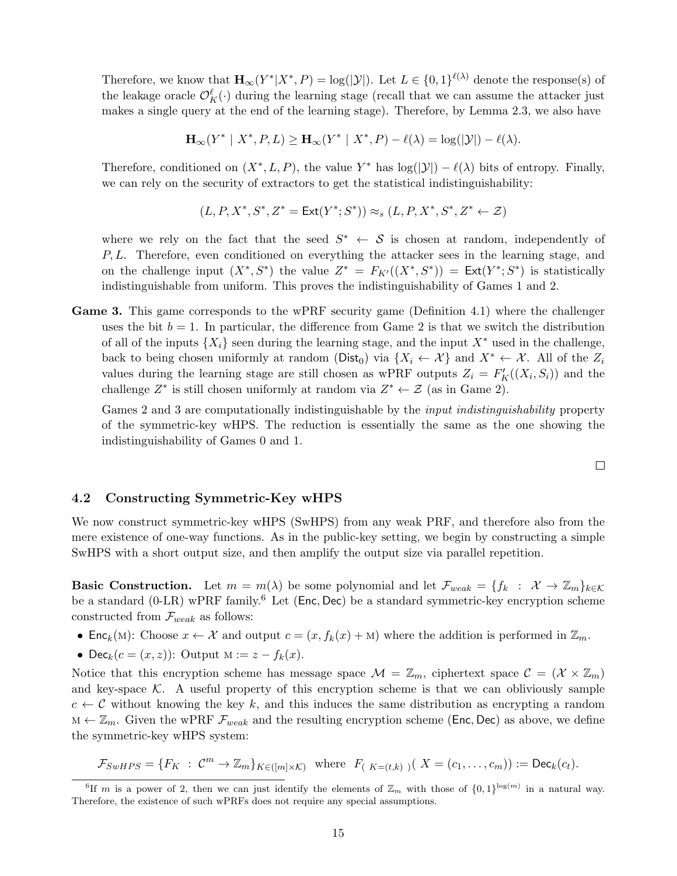Therefore, we know that  $\mathbf{H}_{\infty}(Y^*|X^*, P) = \log(|\mathcal{Y}|)$ . Let  $L \in \{0,1\}^{\ell(\lambda)}$  denote the response(s) of the leakage oracle  $\mathcal{O}_{K}^{\ell}(\cdot)$  during the learning stage (recall that we can assume the attacker just makes a single query at the end of the learning stage). Therefore, by Lemma 2.3, we also have

 $\mathbf{H}_{\infty}(Y^* \mid X^*, P, L) \geq \mathbf{H}_{\infty}(Y^* \mid X^*, P) - \ell(\lambda) = \log(|\mathcal{Y}|) - \ell(\lambda).$ 

Therefore, conditioned on  $(X^*, L, P)$ , the value  $Y^*$  has  $log(|\mathcal{Y}|) - \ell(\lambda)$  bits of entropy. Finally, we can rely on the security of extractors to get the statistical indistinguishability:

$$
(L, P, X^*, S^*, Z^* = \text{Ext}(Y^*; S^*)) \approx_s (L, P, X^*, S^*, Z^* \leftarrow \mathcal{Z})
$$

where we rely on the fact that the seed  $S^* \leftarrow S$  is chosen at random, independently of *P, L*. Therefore, even conditioned on everything the attacker sees in the learning stage, and on the challenge input  $(X^*, S^*)$  the value  $Z^* = F_{K'}((X^*, S^*)) = \text{Ext}(Y^*; S^*)$  is statistically indistinguishable from uniform. This proves the indistinguishability of Games 1 and 2.

**Game 3.** This game corresponds to the wPRF security game (Definition 4.1) where the challenger uses the bit  $b = 1$ . In particular, the difference from Game 2 is that we switch the distribution of all of the inputs  ${X_i}$  seen during the learning stage, and the input  $X^*$  used in the challenge, back to being chosen uniformly at random (Dist<sub>0</sub>) via  $\{X_i \leftarrow \mathcal{X}\}\$ and  $X^* \leftarrow \mathcal{X}$ . All of the  $Z_i$ values during the learning stage are still chosen as wPRF outputs  $Z_i = F'_{K}((X_i, S_i))$  and the challenge  $Z^*$  is still chosen uniformly at random via  $Z^* \leftarrow \mathcal{Z}$  (as in Game 2).

Games 2 and 3 are computationally indistinguishable by the *input indistinguishability* property of the symmetric-key wHPS. The reduction is essentially the same as the one showing the indistinguishability of Games 0 and 1.

 $\Box$ 

#### **4.2 Constructing Symmetric-Key wHPS**

We now construct symmetric-key wHPS (SwHPS) from any weak PRF, and therefore also from the mere existence of one-way functions. As in the public-key setting, we begin by constructing a simple SwHPS with a short output size, and then amplify the output size via parallel repetition.

**Basic Construction.** Let  $m = m(\lambda)$  be some polynomial and let  $\mathcal{F}_{weak} = \{f_k : \mathcal{X} \to \mathbb{Z}_m\}_{k \in \mathcal{K}}$ be a standard (0-LR) wPRF family.<sup>6</sup> Let (Enc*,* Dec) be a standard symmetric-key encryption scheme constructed from *Fweak* as follows:

- Enc<sub>*k*</sub>(M): Choose  $x \leftarrow \mathcal{X}$  and output  $c = (x, f_k(x) + M)$  where the addition is performed in  $\mathbb{Z}_m$ .
- Dec<sub>*k*</sub>( $c = (x, z)$ ): Output  $M := z f_k(x)$ .

Notice that this encryption scheme has message space  $\mathcal{M} = \mathbb{Z}_m$ , ciphertext space  $\mathcal{C} = (\mathcal{X} \times \mathbb{Z}_m)$ and key-space  $K$ . A useful property of this encryption scheme is that we can obliviously sample  $c \leftarrow c$  without knowing the key k, and this induces the same distribution as encrypting a random m *←* Z*m*. Given the wPRF *Fweak* and the resulting encryption scheme (Enc*,* Dec) as above, we define the symmetric-key wHPS system:

$$
\mathcal{F}_{SwHPS} = \{ F_K \; : \; \mathcal{C}^m \to \mathbb{Z}_m \}_{K \in ([m] \times \mathcal{K})} \text{ where } F_{(K=(t,k))}(X = (c_1, \ldots, c_m)) := \text{Dec}_k(c_t).
$$

<sup>&</sup>lt;sup>6</sup>If *m* is a power of 2, then we can just identify the elements of  $\mathbb{Z}_m$  with those of  $\{0,1\}^{\log(m)}$  in a natural way. Therefore, the existence of such wPRFs does not require any special assumptions.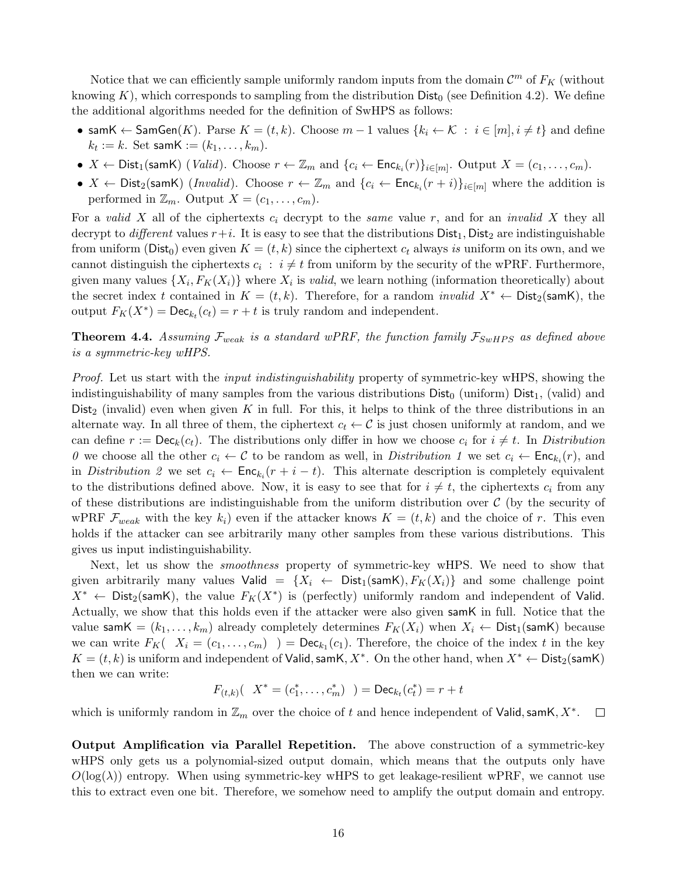Notice that we can efficiently sample uniformly random inputs from the domain  $\mathcal{C}^m$  of  $F_K$  (without knowing  $K$ ), which corresponds to sampling from the distribution  $Dist_0$  (see Definition 4.2). We define the additional algorithms needed for the definition of SwHPS as follows:

- *•* samK  $\leftarrow$  SamGen(*K*). Parse  $K = (t, k)$ . Choose  $m 1$  values  $\{k_i \leftarrow K : i \in [m], i \neq t\}$  and define  $k_t := k$ . Set sam $\mathsf{K} := (k_1, \ldots, k_m)$ .
- $X \leftarrow$  Dist<sub>1</sub>(samK) (*Valid*). Choose  $r \leftarrow \mathbb{Z}_m$  and  $\{c_i \leftarrow \mathsf{Enc}_{k_i}(r)\}_{i \in [m]}$ . Output  $X = (c_1, \ldots, c_m)$ .
- $X \leftarrow$  Dist<sub>2</sub>(samK) (*Invalid*). Choose  $r \leftarrow \mathbb{Z}_m$  and  $\{c_i \leftarrow \mathsf{Enc}_{k_i}(r+i)\}_{i \in [m]}$  where the addition is performed in  $\mathbb{Z}_m$ . Output  $X = (c_1, \ldots, c_m)$ .

For a *valid X* all of the ciphertexts *c<sup>i</sup>* decrypt to the *same* value *r*, and for an *invalid X* they all decrypt to *different* values  $r+i$ . It is easy to see that the distributions  $Dist_1$ ,  $Dist_2$  are indistinguishable from uniform ( $\text{Dist}_0$ ) even given  $K = (t, k)$  since the ciphertext  $c_t$  always *is* uniform on its own, and we cannot distinguish the ciphertexts  $c_i$ :  $i \neq t$  from uniform by the security of the wPRF. Furthermore, given many values  $\{X_i, F_K(X_i)\}$  where  $X_i$  is *valid*, we learn nothing (information theoretically) about the secret index *t* contained in  $K = (t, k)$ . Therefore, for a random *invalid*  $X^* \leftarrow$  Dist<sub>2</sub>(samK), the output  $F_K(X^*) = \text{Dec}_{k_t}(c_t) = r + t$  is truly random and independent.

**Theorem 4.4.** Assuming  $\mathcal{F}_{weak}$  is a standard wPRF, the function family  $\mathcal{F}_{SwHPS}$  as defined above *is a symmetric-key wHPS.*

*Proof.* Let us start with the *input indistinguishability* property of symmetric-key wHPS, showing the indistinguishability of many samples from the various distributions  $Dist_0$  (uniform)  $Dist_1$ , (valid) and Dist<sub>2</sub> (invalid) even when given K in full. For this, it helps to think of the three distributions in an alternate way. In all three of them, the ciphertext  $c_t \leftarrow c$  is just chosen uniformly at random, and we can define  $r := \mathsf{Dec}_k(c_t)$ . The distributions only differ in how we choose  $c_i$  for  $i \neq t$ . In *Distribution 0* we choose all the other  $c_i \leftarrow C$  to be random as well, in *Distribution 1* we set  $c_i \leftarrow \text{Enc}_{k_i}(r)$ , and in *Distribution 2* we set  $c_i \leftarrow \text{Enc}_{k_i}(r + i - t)$ . This alternate description is completely equivalent to the distributions defined above. Now, it is easy to see that for  $i \neq t$ , the ciphertexts  $c_i$  from any of these distributions are indistinguishable from the uniform distribution over  $\mathcal C$  (by the security of wPRF  $\mathcal{F}_{weak}$  with the key  $k_i$ ) even if the attacker knows  $K = (t, k)$  and the choice of r. This even holds if the attacker can see arbitrarily many other samples from these various distributions. This gives us input indistinguishability.

Next, let us show the *smoothness* property of symmetric-key wHPS. We need to show that given arbitrarily many values Valid =  $\{X_i \leftarrow \text{Dist}_1(\text{samK}), F_K(X_i)\}\$  and some challenge point  $X^*$  *←* Dist<sub>2</sub>(samK), the value  $F_K(X^*)$  is (perfectly) uniformly random and independent of Valid. Actually, we show that this holds even if the attacker were also given samK in full. Notice that the value sam $\mathsf{K} = (k_1, \ldots, k_m)$  already completely determines  $F_K(X_i)$  when  $X_i \leftarrow \mathsf{Dist}_1(\mathsf{samK})$  because we can write  $F_K$   $(X_i = (c_1, \ldots, c_m)$   $) = \text{Dec}_{k_1}(c_1)$ . Therefore, the choice of the index *t* in the key *K* =  $(t, k)$  is uniform and independent of Valid, samK,  $X^*$ . On the other hand, when  $X^*$  ← Dist<sub>2</sub>(samK) then we can write:

$$
F_{(t,k)}(X^* = (c_1^*, \ldots, c_m^*) \ ) = \text{Dec}_{k_t}(c_t^*) = r + t
$$

which is uniformly random in Z*<sup>m</sup>* over the choice of *t* and hence independent of Valid*,*samK*, X<sup>∗</sup>* .  $\Box$ 

**Output Amplification via Parallel Repetition.** The above construction of a symmetric-key wHPS only gets us a polynomial-sized output domain, which means that the outputs only have  $O(log(\lambda))$  entropy. When using symmetric-key wHPS to get leakage-resilient wPRF, we cannot use this to extract even one bit. Therefore, we somehow need to amplify the output domain and entropy.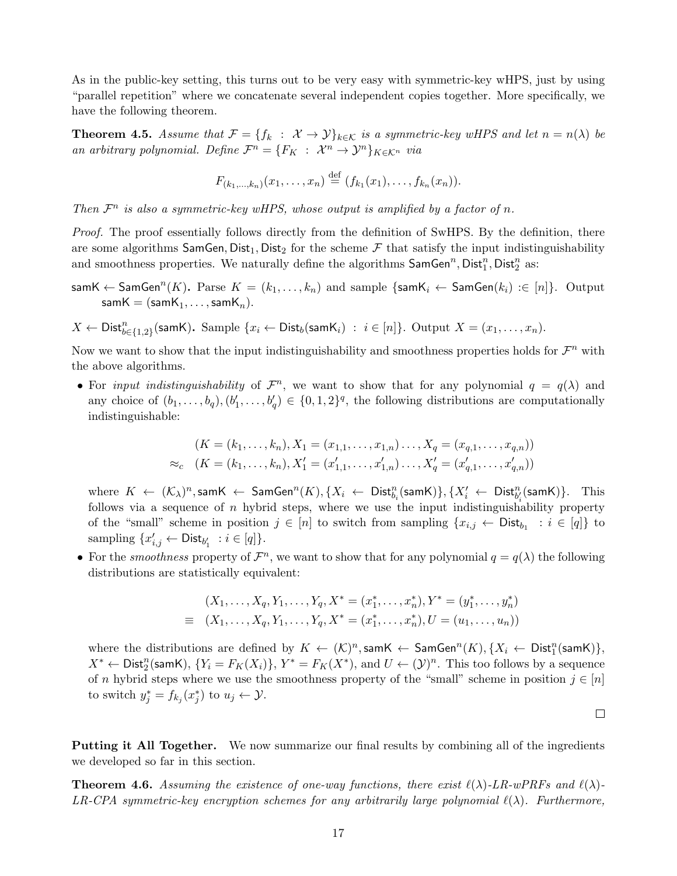As in the public-key setting, this turns out to be very easy with symmetric-key wHPS, just by using "parallel repetition" where we concatenate several independent copies together. More specifically, we have the following theorem.

**Theorem 4.5.** Assume that  $\mathcal{F} = \{f_k : \mathcal{X} \to \mathcal{Y}\}_{k \in \mathcal{K}}$  is a symmetric-key wHPS and let  $n = n(\lambda)$  be *an arbitrary polynomial. Define*  $\mathcal{F}^n = \{F_K : \mathcal{X}^n \to \mathcal{Y}^n\}_{K \in \mathcal{K}^n}$  *via* 

$$
F_{(k_1,...,k_n)}(x_1,...,x_n) \stackrel{\text{def}}{=} (f_{k_1}(x_1),...,f_{k_n}(x_n)).
$$

*Then*  $\mathcal{F}^n$  *is also a symmetric-key wHPS, whose output is amplified by a factor of n*.

*Proof.* The proof essentially follows directly from the definition of SwHPS. By the definition, there are some algorithms SamGen, Dist<sub>1</sub>, Dist<sub>2</sub> for the scheme  $\mathcal F$  that satisfy the input indistinguishability and smoothness properties. We naturally define the algorithms  $\mathsf{SamGen}^n, \mathsf{Dist}_1^n, \mathsf{Dist}_2^n$  as:

$$
samK \leftarrow SamGen^n(K). \text{ Parse } K = (k_1, \ldots, k_n) \text{ and sample } \{samK_i \leftarrow SamGen(k_i) : \in [n] \}.
$$
 Output 
$$
samK = (samK_1, \ldots, samK_n).
$$

$$
X \leftarrow \mathsf{Dist}_{b \in \{1,2\}}^n(\mathsf{samK}).
$$
 Sample  $\{x_i \leftarrow \mathsf{Dist}_b(\mathsf{samK}_i) : i \in [n]\}.$  Output  $X = (x_1, \ldots, x_n).$ 

Now we want to show that the input indistinguishability and smoothness properties holds for  $\mathcal{F}^n$  with the above algorithms.

• For *input indistinguishability* of  $\mathcal{F}^n$ , we want to show that for any polynomial  $q = q(\lambda)$  and any choice of  $(b_1, \ldots, b_q), (b'_1, \ldots, b'_q) \in \{0, 1, 2\}^q$ , the following distributions are computationally indistinguishable:

$$
(K = (k_1, \ldots, k_n), X_1 = (x_{1,1}, \ldots, x_{1,n}) \ldots, X_q = (x_{q,1}, \ldots, x_{q,n}))
$$
  
\n
$$
\approx_c \quad (K = (k_1, \ldots, k_n), X'_1 = (x'_{1,1}, \ldots, x'_{1,n}) \ldots, X'_q = (x'_{q,1}, \ldots, x'_{q,n}))
$$

where  $K \leftarrow (\mathcal{K}_{\lambda})^n$ , sam $K \leftarrow \mathsf{SamGen}^n(K), \{X_i \leftarrow \mathsf{Dist}^n_{b_i}(\mathsf{samK})\}, \{X'_i \leftarrow \mathsf{Dist}^n_{b'_i}(\mathsf{samK})\}.$  This follows via a sequence of *n* hybrid steps, where we use the input indistinguishability property of the "small" scheme in position  $j \in [n]$  to switch from sampling  $\{x_{i,j} \leftarrow \text{Dist}_{b_1} : i \in [q]\}$  to  $\text{sampling } \{x'_{i,j} \leftarrow \text{Dist}_{b'_1} \; : i \in [q] \}.$ 

• For the *smoothness* property of  $\mathcal{F}^n$ , we want to show that for any polynomial  $q = q(\lambda)$  the following distributions are statistically equivalent:

$$
(X_1, \ldots, X_q, Y_1, \ldots, Y_q, X^* = (x_1^*, \ldots, x_n^*), Y^* = (y_1^*, \ldots, y_n^*)
$$
  

$$
\equiv (X_1, \ldots, X_q, Y_1, \ldots, Y_q, X^* = (x_1^*, \ldots, x_n^*), U = (u_1, \ldots, u_n))
$$

where the distributions are defined by  $K \leftarrow (\mathcal{K})^n$ , samK  $\leftarrow$  SamGen<sup>n</sup> $(K)$ , { $X_i \leftarrow$  Dist<sub>1</sub><sup>n</sup>(samK)},  $X^* \leftarrow$  Dist<sub>2</sub><sup>n</sup>(samK),  $\{Y_i = F_K(X_i)\}, Y^* = F_K(X^*)$ , and  $U \leftarrow (\mathcal{Y})^n$ . This too follows by a sequence of *n* hybrid steps where we use the smoothness property of the "small" scheme in position  $j \in [n]$ to switch  $y_j^* = f_{k_j}(x_j^*)$  to  $u_j \leftarrow \mathcal{Y}$ .

 $\Box$ 

**Putting it All Together.** We now summarize our final results by combining all of the ingredients we developed so far in this section.

**Theorem 4.6.** Assuming the existence of one-way functions, there exist  $\ell(\lambda)$ -LR-wPRFs and  $\ell(\lambda)$ -*LR-CPA symmetric-key encryption schemes for any arbitrarily large polynomial ℓ*(*λ*)*. Furthermore,*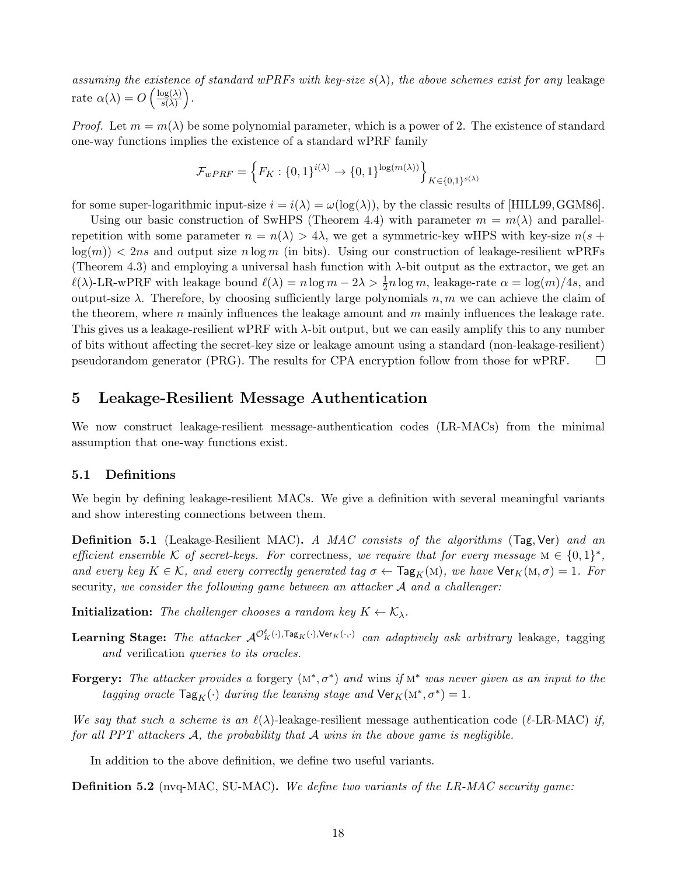*assuming the existence of standard wPRFs with key-size*  $s(\lambda)$ *, the above schemes exist for any* leakage rate  $\alpha(\lambda) = O\left(\frac{\log(\lambda)}{e(\lambda)}\right)$ *s*(*λ*) ) *.*

*Proof.* Let  $m = m(\lambda)$  be some polynomial parameter, which is a power of 2. The existence of standard one-way functions implies the existence of a standard wPRF family

$$
\mathcal{F}_{wPRF} = \left\{ F_K: \{0,1\}^{i(\lambda)} \rightarrow \{0,1\}^{\log(m(\lambda))} \right\}_{K \in \{0,1\}^{s(\lambda)}}
$$

for some super-logarithmic input-size  $i = i(\lambda) = \omega(\log(\lambda))$ , by the classic results of [HILL99, GGM86].

Using our basic construction of SwHPS (Theorem 4.4) with parameter  $m = m(\lambda)$  and parallelrepetition with some parameter  $n = n(\lambda) > 4\lambda$ , we get a symmetric-key wHPS with key-size  $n(s +$  $log(m)$   $\lt$  2*ns* and output size *n* log *m* (in bits). Using our construction of leakage-resilient wPRFs (Theorem 4.3) and employing a universal hash function with  $\lambda$ -bit output as the extractor, we get an  $\ell(\lambda)$ -LR-wPRF with leakage bound  $\ell(\lambda) = n \log m - 2\lambda > \frac{1}{2}n \log m$ , leakage-rate  $\alpha = \log(m)/4s$ , and output-size  $\lambda$ . Therefore, by choosing sufficiently large polynomials  $n, m$  we can achieve the claim of the theorem, where *n* mainly influences the leakage amount and *m* mainly influences the leakage rate. This gives us a leakage-resilient wPRF with *λ*-bit output, but we can easily amplify this to any number of bits without affecting the secret-key size or leakage amount using a standard (non-leakage-resilient) pseudorandom generator (PRG). The results for CPA encryption follow from those for wPRF.  $\Box$ 

## **5 Leakage-Resilient Message Authentication**

We now construct leakage-resilient message-authentication codes (LR-MACs) from the minimal assumption that one-way functions exist.

### **5.1 Definitions**

We begin by defining leakage-resilient MACs. We give a definition with several meaningful variants and show interesting connections between them.

**Definition 5.1** (Leakage-Resilient MAC)**.** *A MAC consists of the algorithms* (Tag*,* Ver) *and an efficient ensemble*  $K$  *of secret-keys. For* correctness, we require that for every message  $M \in \{0,1\}^*$ , *and every key*  $K \in \mathcal{K}$ *, and every correctly generated tag*  $\sigma \leftarrow \text{Tag}_K(M)$ *, we have*  $\text{Ver}_K(M, \sigma) = 1$ *. For* security*, we consider the following game between an attacker A and a challenger:*

**Initialization:** *The challenger chooses a random key*  $K \leftarrow \mathcal{K}_{\lambda}$ *.* 

- **Learning Stage:** The attacker  $\mathcal{A}^{\mathcal{O}_K^{\ell}}(\cdot), \text{Tag}_K(\cdot), \text{Ver}_K(\cdot, \cdot)$  can adaptively ask arbitrary leakage, tagging *and* verification *queries to its oracles.*
- **Forgery:** The attacker provides a forgery  $(M^*, \sigma^*)$  and wins if  $M^*$  was never given as an input to the *tagging oracle*  $\text{Tag}_K(\cdot)$  *during the leaning stage and*  $\text{Ver}_K(\mathbf{M}^*, \sigma^*) = 1$ *.*

*We say that such a scheme is an*  $\ell(\lambda)$ -leakage-resilient message authentication code ( $\ell$ -LR-MAC) *if, for all PPT attackers A, the probability that A wins in the above game is negligible.*

In addition to the above definition, we define two useful variants.

**Definition 5.2** (nvq-MAC, SU-MAC)**.** *We define two variants of the LR-MAC security game:*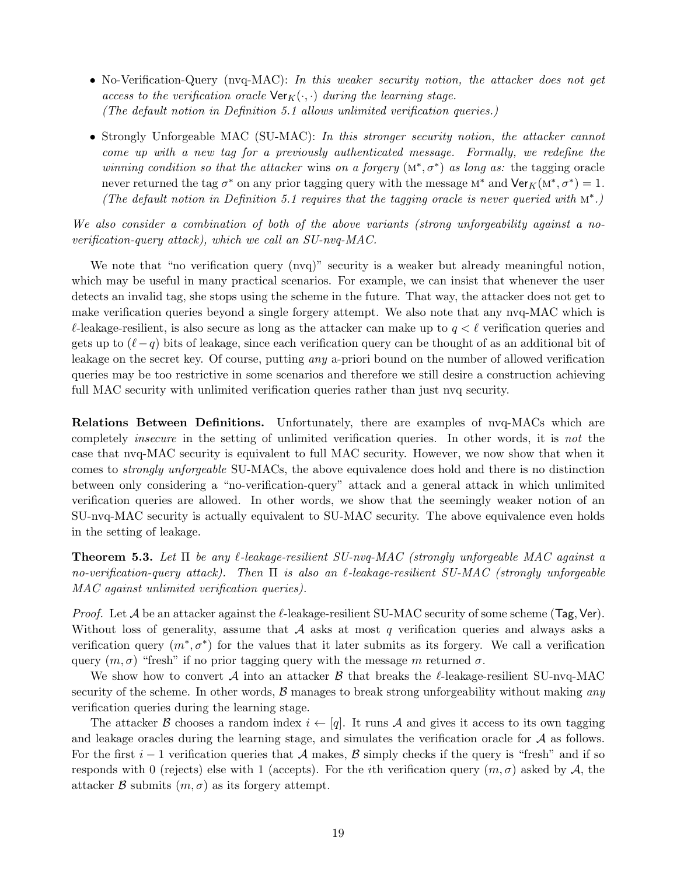- *•* No-Verification-Query (nvq-MAC): *In this weaker security notion, the attacker does not get access to the verification oracle*  $\text{Ver}_K(\cdot, \cdot)$  *during the learning stage. (The default notion in Definition 5.1 allows unlimited verification queries.)*
- *•* Strongly Unforgeable MAC (SU-MAC): *In this stronger security notion, the attacker cannot come up with a new tag for a previously authenticated message. Formally, we redefine the winning condition so that the attacker* wins *on a forgery*  $(M^*, \sigma^*)$  *as long as:* the tagging oracle never returned the tag  $\sigma^*$  on any prior tagging query with the message  $M^*$  and  $\text{Ver}_K(M^*, \sigma^*) = 1$ . *(The default notion in Definition 5.1 requires that the tagging oracle is never queried with* m*<sup>∗</sup> .)*

*We also consider a combination of both of the above variants (strong unforgeability against a noverification-query attack), which we call an SU-nvq-MAC.*

We note that "no verification query (nvq)" security is a weaker but already meaningful notion, which may be useful in many practical scenarios. For example, we can insist that whenever the user detects an invalid tag, she stops using the scheme in the future. That way, the attacker does not get to make verification queries beyond a single forgery attempt. We also note that any nvq-MAC which is *ℓ*-leakage-resilient, is also secure as long as the attacker can make up to *q < ℓ* verification queries and gets up to  $(\ell - q)$  bits of leakage, since each verification query can be thought of as an additional bit of leakage on the secret key. Of course, putting *any* a-priori bound on the number of allowed verification queries may be too restrictive in some scenarios and therefore we still desire a construction achieving full MAC security with unlimited verification queries rather than just nvq security.

**Relations Between Definitions.** Unfortunately, there are examples of nvq-MACs which are completely *insecure* in the setting of unlimited verification queries. In other words, it is *not* the case that nvq-MAC security is equivalent to full MAC security. However, we now show that when it comes to *strongly unforgeable* SU-MACs, the above equivalence does hold and there is no distinction between only considering a "no-verification-query" attack and a general attack in which unlimited verification queries are allowed. In other words, we show that the seemingly weaker notion of an SU-nvq-MAC security is actually equivalent to SU-MAC security. The above equivalence even holds in the setting of leakage.

**Theorem 5.3.** *Let* Π *be any ℓ-leakage-resilient SU-nvq-MAC (strongly unforgeable MAC against a no-verification-query attack). Then* Π *is also an ℓ-leakage-resilient SU-MAC (strongly unforgeable MAC against unlimited verification queries).*

*Proof.* Let *A* be an attacker against the *ℓ*-leakage-resilient SU-MAC security of some scheme (Tag*,* Ver). Without loss of generality, assume that *A* asks at most *q* verification queries and always asks a verification query  $(m^*, \sigma^*)$  for the values that it later submits as its forgery. We call a verification query  $(m, \sigma)$  "fresh" if no prior tagging query with the message m returned  $\sigma$ .

We show how to convert *A* into an attacker *B* that breaks the *ℓ*-leakage-resilient SU-nvq-MAC security of the scheme. In other words, *B* manages to break strong unforgeability without making *any* verification queries during the learning stage.

The attacker *B* chooses a random index  $i \leftarrow [q]$ . It runs *A* and gives it access to its own tagging and leakage oracles during the learning stage, and simulates the verification oracle for *A* as follows. For the first  $i - 1$  verification queries that  $\mathcal A$  makes,  $\mathcal B$  simply checks if the query is "fresh" and if so responds with 0 (rejects) else with 1 (accepts). For the *i*th verification query  $(m, \sigma)$  asked by A, the attacker *B* submits  $(m, \sigma)$  as its forgery attempt.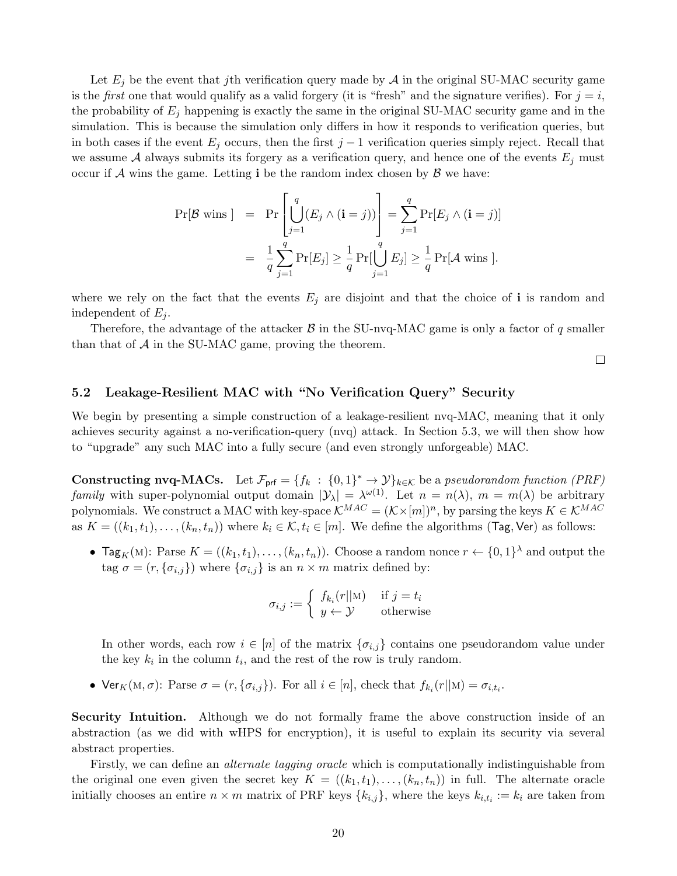Let  $E_j$  be the event that *j*th verification query made by  $A$  in the original SU-MAC security game is the *first* one that would qualify as a valid forgery (it is "fresh" and the signature verifies). For  $j = i$ , the probability of *E<sup>j</sup>* happening is exactly the same in the original SU-MAC security game and in the simulation. This is because the simulation only differs in how it responds to verification queries, but in both cases if the event  $E_j$  occurs, then the first  $j-1$  verification queries simply reject. Recall that we assume A always submits its forgery as a verification query, and hence one of the events  $E_j$  must occur if  $\mathcal A$  wins the game. Letting **i** be the random index chosen by  $\mathcal B$  we have:

$$
\Pr[\mathcal{B} \text{ wins}] = \Pr\left[\bigcup_{j=1}^{q} (E_j \wedge (\mathbf{i} = j))\right] = \sum_{j=1}^{q} \Pr[E_j \wedge (\mathbf{i} = j)]
$$

$$
= \frac{1}{q} \sum_{j=1}^{q} \Pr[E_j] \ge \frac{1}{q} \Pr[\bigcup_{j=1}^{q} E_j] \ge \frac{1}{q} \Pr[\mathcal{A} \text{ wins }].
$$

where we rely on the fact that the events  $E_j$  are disjoint and that the choice of **i** is random and independent of  $E_i$ .

Therefore, the advantage of the attacker  $\beta$  in the SU-nvq-MAC game is only a factor of *q* smaller than that of *A* in the SU-MAC game, proving the theorem.

 $\Box$ 

## **5.2 Leakage-Resilient MAC with "No Verification Query" Security**

We begin by presenting a simple construction of a leakage-resilient nvq-MAC, meaning that it only achieves security against a no-verification-query (nvq) attack. In Section 5.3, we will then show how to "upgrade" any such MAC into a fully secure (and even strongly unforgeable) MAC.

**Constructing nvq-MACs.** Let  $\mathcal{F}_{\text{prf}} = \{f_k : \{0,1\}^* \to \mathcal{Y}\}_{k \in \mathcal{K}}$  be a *pseudorandom function (PRF) family* with super-polynomial output domain  $|\mathcal{Y}_\lambda| = \lambda^{\omega(1)}$ . Let  $n = n(\lambda)$ ,  $m = m(\lambda)$  be arbitrary polynomials. We construct a MAC with key-space  $\mathcal{K}^{MAC} = (\mathcal{K} \times [m])^n$ , by parsing the keys  $K \in \mathcal{K}^{MAC}$ as  $K = ((k_1, t_1), \ldots, (k_n, t_n))$  where  $k_i \in \mathcal{K}, t_i \in [m]$ . We define the algorithms (Tag, Ver) as follows:

*•* Tag<sub>K</sub>(M): Parse  $K = ((k_1, t_1), \ldots, (k_n, t_n))$ . Choose a random nonce  $r \leftarrow \{0, 1\}^{\lambda}$  and output the tag  $\sigma = (r, {\sigma_{i,j}})$  where  ${\sigma_{i,j}}$  is an  $n \times m$  matrix defined by:

$$
\sigma_{i,j} := \begin{cases} f_{k_i}(r||\mathbf{M}) & \text{if } j = t_i \\ y \leftarrow \mathcal{Y} & \text{otherwise} \end{cases}
$$

In other words, each row  $i \in [n]$  of the matrix  $\{\sigma_{i,j}\}$  contains one pseudorandom value under the key  $k_i$  in the column  $t_i$ , and the rest of the row is truly random.

• Ver<sub>K</sub>(M,  $\sigma$ ): Parse  $\sigma = (r, {\{\sigma_{i,j}\}})$ . For all  $i \in [n]$ , check that  $f_{k_i}(r||\mathbf{M}) = \sigma_{i,t_i}$ .

**Security Intuition.** Although we do not formally frame the above construction inside of an abstraction (as we did with wHPS for encryption), it is useful to explain its security via several abstract properties.

Firstly, we can define an *alternate tagging oracle* which is computationally indistinguishable from the original one even given the secret key  $K = ((k_1, t_1), \ldots, (k_n, t_n))$  in full. The alternate oracle initially chooses an entire  $n \times m$  matrix of PRF keys  $\{k_{i,j}\}$ , where the keys  $k_{i,t_i} := k_i$  are taken from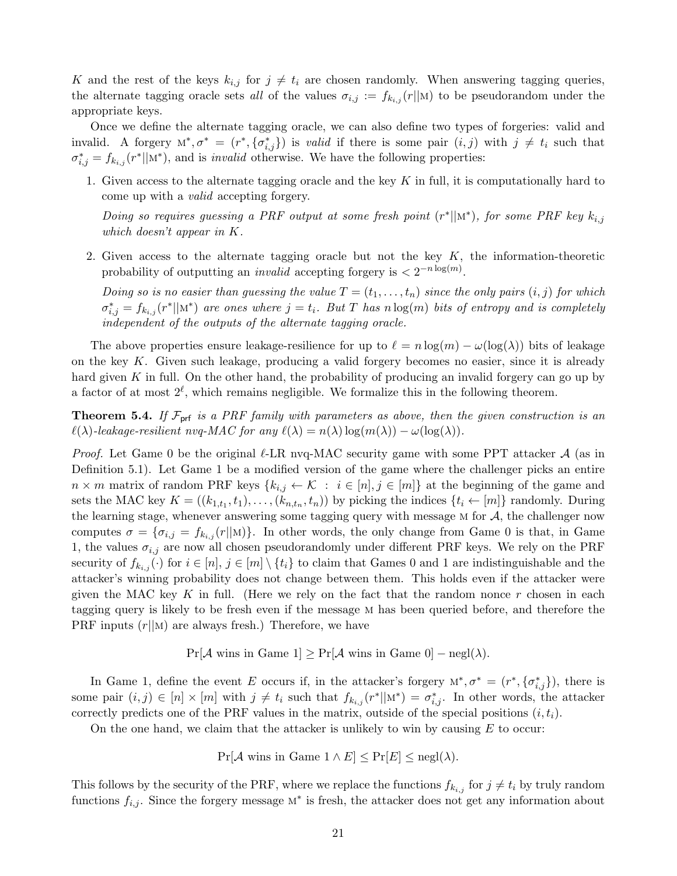*K* and the rest of the keys  $k_{i,j}$  for  $j \neq t_i$  are chosen randomly. When answering tagging queries, the alternate tagging oracle sets *all* of the values  $\sigma_{i,j} := f_{k_{i,j}}(r||\mathbf{M})$  to be pseudorandom under the appropriate keys.

Once we define the alternate tagging oracle, we can also define two types of forgeries: valid and invalid. A forgery  $M^*, \sigma^* = (r^*, {\{\sigma^*_{i,j}\}})$  is *valid* if there is some pair  $(i, j)$  with  $j \neq t_i$  such that  $\sigma_{i,j}^* = f_{k_{i,j}}(r^*||\mathbf{M}^*)$ , and is *invalid* otherwise. We have the following properties:

1. Given access to the alternate tagging oracle and the key *K* in full, it is computationally hard to come up with a *valid* accepting forgery.

*Doing so requires guessing a PRF output at some fresh point*  $(r^*||m^*)$ , for some PRF key  $k_{i,j}$ *which doesn't appear in K.*

2. Given access to the alternate tagging oracle but not the key *K*, the information-theoretic probability of outputting an *invalid* accepting forgery is  $\langle 2^{-n \log(m)} \rangle$ .

*Doing so is no easier than guessing the value*  $T = (t_1, \ldots, t_n)$  *since the only pairs*  $(i, j)$  *for which*  $\sigma_{i,j}^* = f_{k_{i,j}}(r^*||\mathbf{M}^*)$  are ones where  $j = t_i$ . But T has n log(m) bits of entropy and is completely *independent of the outputs of the alternate tagging oracle.*

The above properties ensure leakage-resilience for up to  $\ell = n \log(m) - \omega(\log(\lambda))$  bits of leakage on the key *K*. Given such leakage, producing a valid forgery becomes no easier, since it is already hard given *K* in full. On the other hand, the probability of producing an invalid forgery can go up by a factor of at most  $2^{\ell}$ , which remains negligible. We formalize this in the following theorem.

**Theorem 5.4.** If  $\mathcal{F}_{\text{prf}}$  *is a PRF family with parameters as above, then the given construction is an*  $\ell(\lambda)$ -leakage-resilient nvg-MAC for any  $\ell(\lambda) = n(\lambda) \log(m(\lambda)) - \omega(\log(\lambda)).$ 

*Proof.* Let Game 0 be the original *ℓ*-LR nvq-MAC security game with some PPT attacker *A* (as in Definition 5.1). Let Game 1 be a modified version of the game where the challenger picks an entire  $n \times m$  matrix of random PRF keys  $\{k_{i,j} \leftarrow \mathcal{K} : i \in [n], j \in [m]\}$  at the beginning of the game and sets the MAC key  $K = ((k_{1,t_1}, t_1), \ldots, (k_{n,t_n}, t_n))$  by picking the indices  $\{t_i \leftarrow [m]\}$  randomly. During the learning stage, whenever answering some tagging query with message m for *A*, the challenger now computes  $\sigma = {\sigma_{i,j} = f_{k_{i,j}}(r||\mathbf{M})}$ . In other words, the only change from Game 0 is that, in Game 1, the values  $\sigma_{i,j}$  are now all chosen pseudorandomly under different PRF keys. We rely on the PRF security of  $f_{k_{i,j}}(\cdot)$  for  $i \in [n], j \in [m] \setminus \{t_i\}$  to claim that Games 0 and 1 are indistinguishable and the attacker's winning probability does not change between them. This holds even if the attacker were given the MAC key *K* in full. (Here we rely on the fact that the random nonce *r* chosen in each tagging query is likely to be fresh even if the message m has been queried before, and therefore the PRF inputs (*r||*m) are always fresh.) Therefore, we have

 $Pr[\mathcal{A}$  wins in Game 1 $] \geq Pr[\mathcal{A}$  wins in Game 0 $] - negl(\lambda)$ .

In Game 1, define the event *E* occurs if, in the attacker's forgery  $M^*, \sigma^* = (r^*, {\{\sigma^*_{i,j}\}})$ , there is some pair  $(i, j) \in [n] \times [m]$  with  $j \neq t_i$  such that  $f_{k_{i,j}}(r^*||\mathbf{M}^*) = \sigma_{i,j}^*$ . In other words, the attacker correctly predicts one of the PRF values in the matrix, outside of the special positions  $(i, t_i)$ .

On the one hand, we claim that the attacker is unlikely to win by causing *E* to occur:

 $Pr[\mathcal{A}$  wins in Game  $1 \wedge E] \leq Pr[E] \leq negl(\lambda)$ .

This follows by the security of the PRF, where we replace the functions  $f_{k_{i,j}}$  for  $j \neq t_i$  by truly random functions  $f_{i,j}$ . Since the forgery message  $M^*$  is fresh, the attacker does not get any information about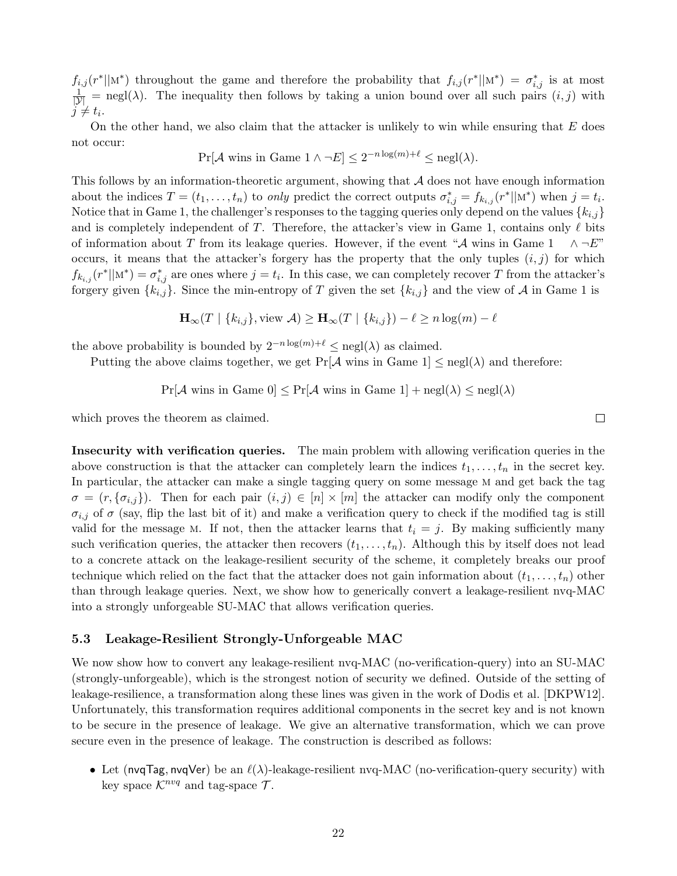$f_{i,j}(r^*||M^*)$  throughout the game and therefore the probability that  $f_{i,j}(r^*||M^*) = \sigma_{i,j}^*$  is at most  $\frac{1}{|Y|}$  = negl( $\lambda$ ). The inequality then follows by taking a union bound over all such pairs  $(i, j)$  with  $j \neq t_i$ .

On the other hand, we also claim that the attacker is unlikely to win while ensuring that *E* does not occur:

$$
\Pr[\mathcal{A} \text{ wins in Game 1} \land \neg E] \le 2^{-n \log(m) + \ell} \le \text{negl}(\lambda).
$$

This follows by an information-theoretic argument, showing that *A* does not have enough information about the indices  $T = (t_1, \ldots, t_n)$  to only predict the correct outputs  $\sigma_{i,j}^* = f_{k_{i,j}}(r^*||\mathbf{M}^*)$  when  $j = t_i$ . Notice that in Game 1, the challenger's responses to the tagging queries only depend on the values *{ki,j}* and is completely independent of *T*. Therefore, the attacker's view in Game 1, contains only *ℓ* bits of information about *T* from its leakage queries. However, if the event " $\mathcal A$  wins in Game 1  $\wedge \neg E$ " occurs, it means that the attacker's forgery has the property that the only tuples  $(i, j)$  for which  $f_{k_{i,j}}(r^*||\mathbf{M}^*) = \sigma_{i,j}^*$  are ones where  $j = t_i$ . In this case, we can completely recover *T* from the attacker's forgery given  $\{k_{i,j}\}$ . Since the min-entropy of *T* given the set  $\{k_{i,j}\}$  and the view of *A* in Game 1 is

$$
\mathbf{H}_{\infty}(T \mid \{k_{i,j}\}, \text{view } \mathcal{A}) \geq \mathbf{H}_{\infty}(T \mid \{k_{i,j}\}) - \ell \geq n \log(m) - \ell
$$

the above probability is bounded by  $2^{-n \log(m)+\ell} \le \text{negl}(\lambda)$  as claimed.

Putting the above claims together, we get  $Pr[\mathcal{A}]$  wins in Game  $1] \leq negl(\lambda)$  and therefore:

 $Pr[\mathcal{A}$  wins in Game  $0] \leq Pr[\mathcal{A}$  wins in Game  $1] + negl(\lambda) \leq negl(\lambda)$ 

which proves the theorem as claimed.

**Insecurity with verification queries.** The main problem with allowing verification queries in the above construction is that the attacker can completely learn the indices  $t_1, \ldots, t_n$  in the secret key. In particular, the attacker can make a single tagging query on some message m and get back the tag  $\sigma = (r, {\sigma_{i,j}})$ . Then for each pair  $(i,j) \in [n] \times [m]$  the attacker can modify only the component  $\sigma_{i,j}$  of  $\sigma$  (say, flip the last bit of it) and make a verification query to check if the modified tag is still valid for the message M. If not, then the attacker learns that  $t_i = j$ . By making sufficiently many such verification queries, the attacker then recovers  $(t_1, \ldots, t_n)$ . Although this by itself does not lead to a concrete attack on the leakage-resilient security of the scheme, it completely breaks our proof technique which relied on the fact that the attacker does not gain information about  $(t_1, \ldots, t_n)$  other than through leakage queries. Next, we show how to generically convert a leakage-resilient nvq-MAC into a strongly unforgeable SU-MAC that allows verification queries.

#### **5.3 Leakage-Resilient Strongly-Unforgeable MAC**

We now show how to convert any leakage-resilient nvq-MAC (no-verification-query) into an SU-MAC (strongly-unforgeable), which is the strongest notion of security we defined. Outside of the setting of leakage-resilience, a transformation along these lines was given in the work of Dodis et al. [DKPW12]. Unfortunately, this transformation requires additional components in the secret key and is not known to be secure in the presence of leakage. We give an alternative transformation, which we can prove secure even in the presence of leakage. The construction is described as follows:

*•* Let (nvqTag*,* nvqVer) be an *ℓ*(*λ*)-leakage-resilient nvq-MAC (no-verification-query security) with key space  $\mathcal{K}^{nvq}$  and tag-space  $\mathcal{T}$ .

 $\Box$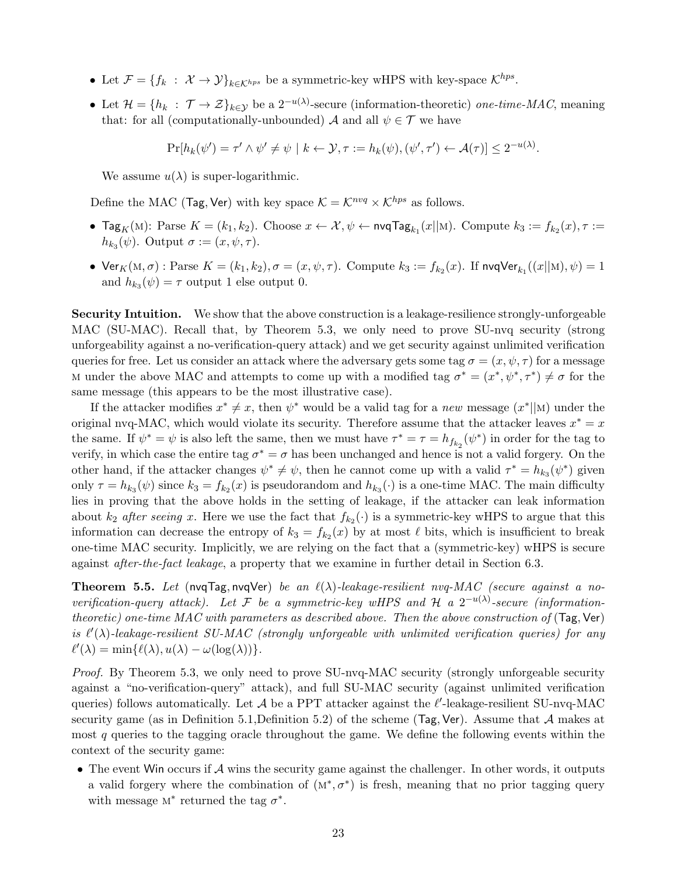- *•* Let  $\mathcal{F} = \{f_k : \mathcal{X} \to \mathcal{Y}\}_{k \in \mathcal{K}^{hps}}$  be a symmetric-key wHPS with key-space  $\mathcal{K}^{hps}$ .
- *•* Let  $\mathcal{H} = \{h_k : \mathcal{T} \to \mathcal{Z}\}_{k \in \mathcal{Y}}\}$  be a 2<sup>*−u*( $\lambda$ )</sup>-secure (information-theoretic) *one-time-MAC*, meaning that: for all (computationally-unbounded) *A* and all  $\psi \in \mathcal{T}$  we have

 $\Pr[h_k(\psi') = \tau' \land \psi' \neq \psi \mid k \leftarrow \mathcal{Y}, \tau := h_k(\psi), (\psi', \tau') \leftarrow \mathcal{A}(\tau)] \leq 2^{-u(\lambda)}.$ 

We assume  $u(\lambda)$  is super-logarithmic.

Define the MAC (Tag, Ver) with key space  $K = \mathcal{K}^{nvq} \times \mathcal{K}^{hps}$  as follows.

- $\bullet$  **Tag**<sub>K</sub>(M): Parse *K* = (*k*<sub>1</sub>, *k*<sub>2</sub>). Choose *x* ← *X*, *ψ* ← nvqTag<sub>*k*<sub>1</sub></sub>(*x*||M). Compute *k*<sub>3</sub> := *f*<sub>*k*<sub>2</sub></sub>(*x*), *τ* :=  $h_{k_3}(\psi)$ . Output  $\sigma := (x, \psi, \tau)$ .
- $\bullet$   $\text{Ver}_K(\text{M}, \sigma) : \text{Parse } K = (k_1, k_2), \sigma = (x, \psi, \tau)$ . Compute  $k_3 := f_{k_2}(x)$ . If  $\text{nvqVer}_{k_1}((x||\text{M}), \psi) = 1$ and  $h_{k_3}(\psi) = \tau$  output 1 else output 0.

**Security Intuition.** We show that the above construction is a leakage-resilience strongly-unforgeable MAC (SU-MAC). Recall that, by Theorem 5.3, we only need to prove SU-nvq security (strong unforgeability against a no-verification-query attack) and we get security against unlimited verification queries for free. Let us consider an attack where the adversary gets some tag  $\sigma = (x, \psi, \tau)$  for a message M under the above MAC and attempts to come up with a modified tag  $\sigma^* = (x^*, \psi^*, \tau^*) \neq \sigma$  for the same message (this appears to be the most illustrative case).

If the attacker modifies  $x^* \neq x$ , then  $\psi^*$  would be a valid tag for a *new* message  $(x^*||M)$  under the original nvq-MAC, which would violate its security. Therefore assume that the attacker leaves  $x^* = x$ the same. If  $\psi^* = \psi$  is also left the same, then we must have  $\tau^* = \tau = h_{f_{k_2}}(\psi^*)$  in order for the tag to verify, in which case the entire tag  $\sigma^* = \sigma$  has been unchanged and hence is not a valid forgery. On the other hand, if the attacker changes  $\psi^* \neq \psi$ , then he cannot come up with a valid  $\tau^* = h_{k_3}(\psi^*)$  given only  $\tau = h_{k_3}(\psi)$  since  $k_3 = f_{k_2}(x)$  is pseudorandom and  $h_{k_3}(\cdot)$  is a one-time MAC. The main difficulty lies in proving that the above holds in the setting of leakage, if the attacker can leak information about  $k_2$  *after seeing* x. Here we use the fact that  $f_{k_2}(\cdot)$  is a symmetric-key wHPS to argue that this information can decrease the entropy of  $k_3 = f_{k_2}(x)$  by at most  $\ell$  bits, which is insufficient to break one-time MAC security. Implicitly, we are relying on the fact that a (symmetric-key) wHPS is secure against *after-the-fact leakage*, a property that we examine in further detail in Section 6.3.

**Theorem 5.5.** Let (nvqTag, nvqVer) *be an*  $\ell(\lambda)$ -leakage-resilient nvq-MAC (secure against a no*verification-query attack). Let*  $\mathcal F$  *be a symmetric-key wHPS and*  $\mathcal H$  *a*  $2^{-u(\lambda)}$ -secure (information*theoretic) one-time MAC with parameters as described above. Then the above construction of* (Tag*,* Ver) *is*  $\ell'(\lambda)$ -leakage-resilient SU-MAC (strongly unforgeable with unlimited verification queries) for any  $\ell'(\lambda) = \min{\ell(\lambda), \mu(\lambda) - \omega(\log(\lambda))}.$ 

*Proof.* By Theorem 5.3, we only need to prove SU-nvq-MAC security (strongly unforgeable security against a "no-verification-query" attack), and full SU-MAC security (against unlimited verification queries) follows automatically. Let *A* be a PPT attacker against the *ℓ ′* -leakage-resilient SU-nvq-MAC security game (as in Definition 5.1,Definition 5.2) of the scheme (Tag*,* Ver). Assume that *A* makes at most *q* queries to the tagging oracle throughout the game. We define the following events within the context of the security game:

• The event Win occurs if A wins the security game against the challenger. In other words, it outputs a valid forgery where the combination of  $(M^*, \sigma^*)$  is fresh, meaning that no prior tagging query with message  $M^*$  returned the tag  $\sigma^*$ .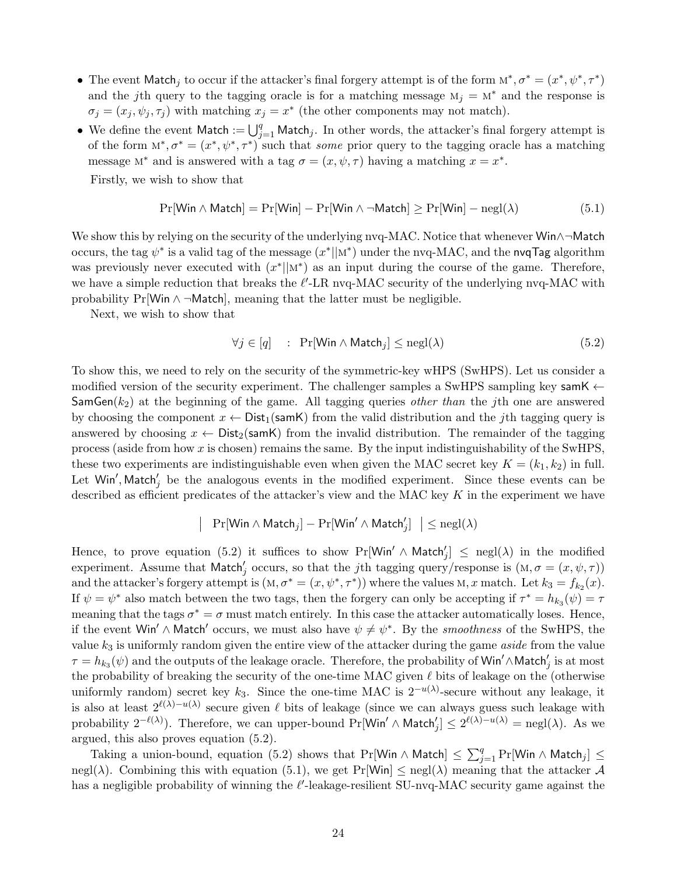- The event Match<sub>j</sub> to occur if the attacker's final forgery attempt is of the form  $M^*$ ,  $\sigma^* = (x^*, \psi^*, \tau^*)$ and the *j*th query to the tagging oracle is for a matching message  $M_j = M^*$  and the response is  $\sigma_j = (x_j, \psi_j, \tau_j)$  with matching  $x_j = x^*$  (the other components may not match).
- We define the event Match :=  $\bigcup_{j=1}^{q}$  Match<sub>j</sub>. In other words, the attacker's final forgery attempt is of the form  $M^*, \sigma^* = (x^*, \psi^*, \tau^*)$  such that *some* prior query to the tagging oracle has a matching message  $M^*$  and is answered with a tag  $\sigma = (x, \psi, \tau)$  having a matching  $x = x^*$ .

Firstly, we wish to show that

$$
\Pr[\text{Win} \land \text{Match}] = \Pr[\text{Win}] - \Pr[\text{Win} \land \neg \text{Match}] \ge \Pr[\text{Win}] - \text{negl}(\lambda) \tag{5.1}
$$

We show this by relying on the security of the underlying nvq-MAC. Notice that whenever Win*∧¬*Match occurs, the tag  $\psi^*$  is a valid tag of the message  $(x^*||M^*)$  under the nvq-MAC, and the nvqTag algorithm was previously never executed with  $(x^*||M^*)$  as an input during the course of the game. Therefore, we have a simple reduction that breaks the *ℓ ′* -LR nvq-MAC security of the underlying nvq-MAC with probability  $Pr[W \in \wedge \neg \text{Match}]$ , meaning that the latter must be negligible.

Next, we wish to show that

$$
\forall j \in [q] \quad : \quad \Pr[\text{Win} \land \text{Match}_j] \leq \text{negl}(\lambda) \tag{5.2}
$$

To show this, we need to rely on the security of the symmetric-key wHPS (SwHPS). Let us consider a modified version of the security experiment. The challenger samples a SwHPS sampling key samK *←* SamGen(*k*2) at the beginning of the game. All tagging queries *other than* the *j*th one are answered by choosing the component  $x \leftarrow$  Dist<sub>1</sub>(samK) from the valid distribution and the *j*th tagging query is answered by choosing  $x \leftarrow$  Dist<sub>2</sub>(samK) from the invalid distribution. The remainder of the tagging process (aside from how *x* is chosen) remains the same. By the input indistinguishability of the SwHPS, these two experiments are indistinguishable even when given the MAC secret key  $K = (k_1, k_2)$  in full. Let  $W$ in', Match'<sub>j</sub> be the analogous events in the modified experiment. Since these events can be described as efficient predicates of the attacker's view and the MAC key *K* in the experiment we have

$$
\left|\quad \Pr[\mathsf{Win} \wedge \mathsf{Match}_j] - \Pr[\mathsf{Win}' \wedge \mathsf{Match}'_j] \ \ \right| \le {\rm negl}(\lambda)
$$

Hence, to prove equation (5.2) it suffices to show  $\Pr[\text{Win'} \wedge \text{Match}'_j] \leq \text{negl}(\lambda)$  in the modified experiment. Assume that  $\text{Match}'_j$  occurs, so that the *j*th tagging query/response is  $(M, \sigma = (x, \psi, \tau))$ and the attacker's forgery attempt is  $(M, \sigma^* = (x, \psi^*, \tau^*))$  where the values  $M, x$  match. Let  $k_3 = f_{k_2}(x)$ . If  $\psi = \psi^*$  also match between the two tags, then the forgery can only be accepting if  $\tau^* = h_{k_3}(\psi) = \tau$ meaning that the tags  $\sigma^* = \sigma$  must match entirely. In this case the attacker automatically loses. Hence, if the event Win<sup>'</sup>  $\land$  Match<sup>'</sup> occurs, we must also have  $\psi \neq \psi^*$ . By the *smoothness* of the SwHPS, the value *k*<sup>3</sup> is uniformly random given the entire view of the attacker during the game *aside* from the value  $\tau = h_{k_3}(\psi)$  and the outputs of the leakage oracle. Therefore, the probability of Win<sup>'</sup>∧Match<sup>'</sup><sub>j</sub> is at most the probability of breaking the security of the one-time MAC given *ℓ* bits of leakage on the (otherwise uniformly random) secret key  $k_3$ . Since the one-time MAC is  $2^{-u(\lambda)}$ -secure without any leakage, it is also at least  $2^{\ell(\lambda)-u(\lambda)}$  secure given  $\ell$  bits of leakage (since we can always guess such leakage with probability  $2^{-\ell(\lambda)}$ ). Therefore, we can upper-bound Pr[Win' ∧ Match'<sub>j</sub>]  $\leq 2^{\ell(\lambda)-u(\lambda)} = \text{negl}(\lambda)$ . As we argued, this also proves equation (5.2).

Taking a union-bound, equation (5.2) shows that Pr[Win *∧* Match]  $\leq \sum_{j=1}^{q} \Pr[\textsf{Win} \land \textsf{Match}_j] \leq$ negl( $\lambda$ ). Combining this with equation (5.1), we get Pr[Win]  $\leq$  negl( $\lambda$ ) meaning that the attacker  $\mathcal A$ has a negligible probability of winning the  $\ell'$ -leakage-resilient SU-nvq-MAC security game against the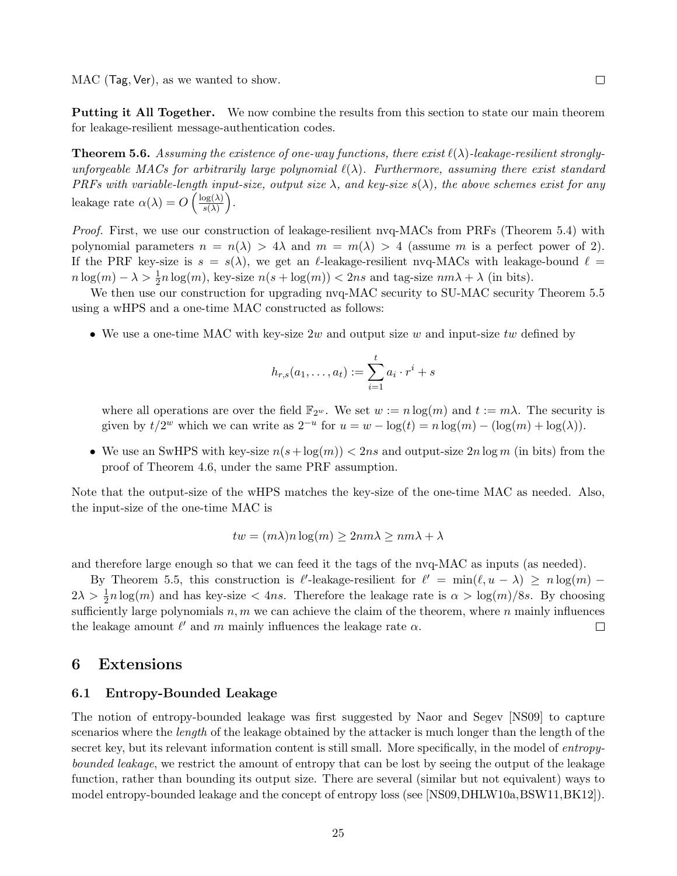MAC (Tag*,* Ver), as we wanted to show.

**Putting it All Together.** We now combine the results from this section to state our main theorem for leakage-resilient message-authentication codes.

**Theorem 5.6.** *Assuming the existence of one-way functions, there exist*  $\ell(\lambda)$ *-leakage-resilient stronglyunforgeable MACs for arbitrarily large polynomial ℓ*(*λ*)*. Furthermore, assuming there exist standard PRFs with variable-length input-size, output size λ, and key-size s*(*λ*)*, the above schemes exist for any* leakage rate  $\alpha(\lambda) = O\left(\frac{\log(\lambda)}{s(\lambda)}\right)$ *s*(*λ*) ) *.*

*Proof.* First, we use our construction of leakage-resilient nvq-MACs from PRFs (Theorem 5.4) with polynomial parameters  $n = n(\lambda) > 4\lambda$  and  $m = m(\lambda) > 4$  (assume m is a perfect power of 2). If the PRF key-size is  $s = s(\lambda)$ , we get an *ℓ*-leakage-resilient nvq-MACs with leakage-bound  $\ell =$  $n \log(m) - \lambda > \frac{1}{2}n \log(m)$ , key-size  $n(s + \log(m)) < 2ns$  and tag-size  $nm\lambda + \lambda$  (in bits).

We then use our construction for upgrading nvq-MAC security to SU-MAC security Theorem 5.5 using a wHPS and a one-time MAC constructed as follows:

*•* We use a one-time MAC with key-size 2*w* and output size *w* and input-size *tw* defined by

$$
h_{r,s}(a_1,\ldots,a_t) := \sum_{i=1}^t a_i \cdot r^i + s
$$

where all operations are over the field  $\mathbb{F}_{2^w}$ . We set  $w := n \log(m)$  and  $t := m\lambda$ . The security is given by  $t/2^w$  which we can write as  $2^{-u}$  for  $u = w - \log(t) = n \log(m) - (\log(m) + \log(\lambda)).$ 

• We use an SwHPS with key-size  $n(s + \log(m)) < 2ns$  and output-size  $2n \log m$  (in bits) from the proof of Theorem 4.6, under the same PRF assumption.

Note that the output-size of the wHPS matches the key-size of the one-time MAC as needed. Also, the input-size of the one-time MAC is

$$
tw = (m\lambda)n \log(m) \ge 2nm\lambda \ge nm\lambda + \lambda
$$

and therefore large enough so that we can feed it the tags of the nvq-MAC as inputs (as needed).

By Theorem 5.5, this construction is  $\ell'$ -leakage-resilient for  $\ell' = \min(\ell, u - \lambda) \ge n \log(m) - \ell'$  $2\lambda > \frac{1}{2}n \log(m)$  and has key-size  $\lt{4ns}$ . Therefore the leakage rate is  $\alpha > \log(m)/8s$ . By choosing sufficiently large polynomials *n, m* we can achieve the claim of the theorem, where *n* mainly influences the leakage amount  $\ell'$  and  $m$  mainly influences the leakage rate  $\alpha$ .  $\Box$ 

## **6 Extensions**

### **6.1 Entropy-Bounded Leakage**

The notion of entropy-bounded leakage was first suggested by Naor and Segev [NS09] to capture scenarios where the *length* of the leakage obtained by the attacker is much longer than the length of the secret key, but its relevant information content is still small. More specifically, in the model of *entropybounded leakage*, we restrict the amount of entropy that can be lost by seeing the output of the leakage function, rather than bounding its output size. There are several (similar but not equivalent) ways to model entropy-bounded leakage and the concept of entropy loss (see [NS09,DHLW10a,BSW11,BK12]).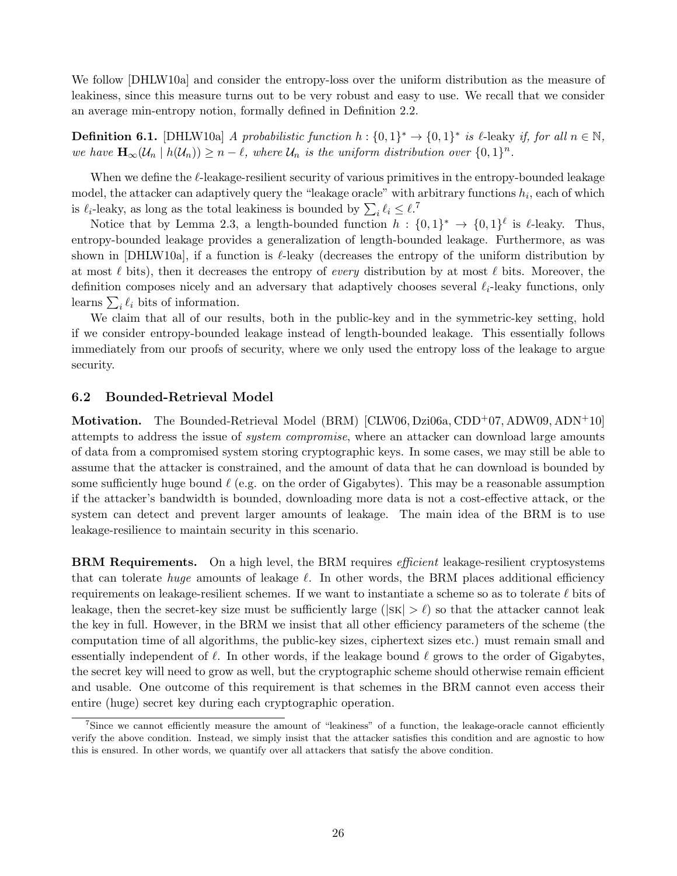We follow [DHLW10a] and consider the entropy-loss over the uniform distribution as the measure of leakiness, since this measure turns out to be very robust and easy to use. We recall that we consider an average min-entropy notion, formally defined in Definition 2.2.

**Definition 6.1.** [DHLW10a] *A probabilistic function*  $h: \{0,1\}^* \to \{0,1\}^*$  *is*  $\ell$ -leaky *if, for all*  $n \in \mathbb{N}$ *,* we have  $\mathbf{H}_{\infty}(\mathcal{U}_n \mid h(\mathcal{U}_n)) \geq n - \ell$ , where  $\mathcal{U}_n$  is the uniform distribution over  $\{0,1\}^n$ .

When we define the *ℓ*-leakage-resilient security of various primitives in the entropy-bounded leakage model, the attacker can adaptively query the "leakage oracle" with arbitrary functions  $h_i$ , each of which is  $\ell_i$ -leaky, as long as the total leakiness is bounded by  $\sum_i \ell_i \leq \ell$ .<sup>7</sup>

Notice that by Lemma 2.3, a length-bounded function  $h: \{0,1\}^* \to \{0,1\}^{\ell}$  is  $\ell$ -leaky. Thus, entropy-bounded leakage provides a generalization of length-bounded leakage. Furthermore, as was shown in [DHLW10a], if a function is *ℓ*-leaky (decreases the entropy of the uniform distribution by at most *ℓ* bits), then it decreases the entropy of *every* distribution by at most *ℓ* bits. Moreover, the definition composes nicely and an adversary that adaptively chooses several *ℓi*-leaky functions, only learns  $\sum_i \ell_i$  bits of information.

We claim that all of our results, both in the public-key and in the symmetric-key setting, hold if we consider entropy-bounded leakage instead of length-bounded leakage. This essentially follows immediately from our proofs of security, where we only used the entropy loss of the leakage to argue security.

#### **6.2 Bounded-Retrieval Model**

**Motivation.** The Bounded-Retrieval Model (BRM) [CLW06, Dzi06a, CDD+07, ADW09, ADN+10] attempts to address the issue of *system compromise*, where an attacker can download large amounts of data from a compromised system storing cryptographic keys. In some cases, we may still be able to assume that the attacker is constrained, and the amount of data that he can download is bounded by some sufficiently huge bound *ℓ* (e.g. on the order of Gigabytes). This may be a reasonable assumption if the attacker's bandwidth is bounded, downloading more data is not a cost-effective attack, or the system can detect and prevent larger amounts of leakage. The main idea of the BRM is to use leakage-resilience to maintain security in this scenario.

**BRM Requirements.** On a high level, the BRM requires *efficient* leakage-resilient cryptosystems that can tolerate *huge* amounts of leakage *ℓ*. In other words, the BRM places additional efficiency requirements on leakage-resilient schemes. If we want to instantiate a scheme so as to tolerate *ℓ* bits of leakage, then the secret-key size must be sufficiently large ( $|\text{SK}| > \ell$ ) so that the attacker cannot leak the key in full. However, in the BRM we insist that all other efficiency parameters of the scheme (the computation time of all algorithms, the public-key sizes, ciphertext sizes etc.) must remain small and essentially independent of *ℓ*. In other words, if the leakage bound *ℓ* grows to the order of Gigabytes, the secret key will need to grow as well, but the cryptographic scheme should otherwise remain efficient and usable. One outcome of this requirement is that schemes in the BRM cannot even access their entire (huge) secret key during each cryptographic operation.

<sup>7</sup>Since we cannot efficiently measure the amount of "leakiness" of a function, the leakage-oracle cannot efficiently verify the above condition. Instead, we simply insist that the attacker satisfies this condition and are agnostic to how this is ensured. In other words, we quantify over all attackers that satisfy the above condition.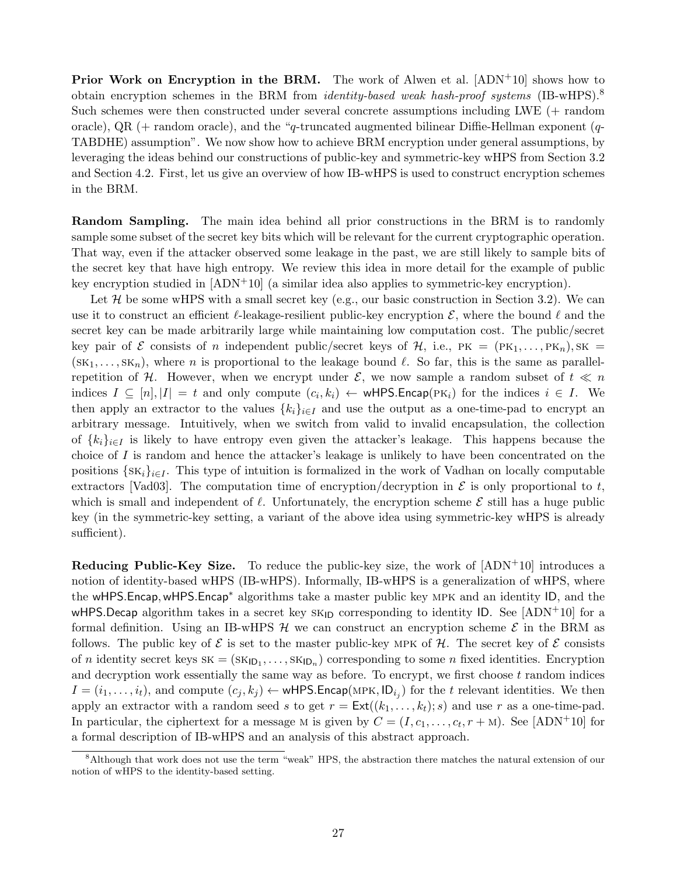**Prior Work on Encryption in the BRM.** The work of Alwen et al. [ADN<sup>+</sup>10] shows how to obtain encryption schemes in the BRM from *identity-based weak hash-proof systems* (IB-wHPS).<sup>8</sup> Such schemes were then constructed under several concrete assumptions including LWE (+ random oracle), QR (+ random oracle), and the "*q*-truncated augmented bilinear Diffie-Hellman exponent (*q*-TABDHE) assumption". We now show how to achieve BRM encryption under general assumptions, by leveraging the ideas behind our constructions of public-key and symmetric-key wHPS from Section 3.2 and Section 4.2. First, let us give an overview of how IB-wHPS is used to construct encryption schemes in the BRM.

**Random Sampling.** The main idea behind all prior constructions in the BRM is to randomly sample some subset of the secret key bits which will be relevant for the current cryptographic operation. That way, even if the attacker observed some leakage in the past, we are still likely to sample bits of the secret key that have high entropy. We review this idea in more detail for the example of public key encryption studied in [ADN+10] (a similar idea also applies to symmetric-key encryption).

Let  $\mathcal H$  be some wHPS with a small secret key (e.g., our basic construction in Section 3.2). We can use it to construct an efficient *ℓ*-leakage-resilient public-key encryption *E*, where the bound *ℓ* and the secret key can be made arbitrarily large while maintaining low computation cost. The public/secret key pair of *E* consists of *n* independent public/secret keys of  $H$ , i.e.,  $PK = (PK<sub>1</sub>, ..., PK<sub>n</sub>)$ ,  $SK =$  $(\text{SK}_1, \ldots, \text{SK}_n)$ , where *n* is proportional to the leakage bound  $\ell$ . So far, this is the same as parallelrepetition of *H*. However, when we encrypt under *E*, we now sample a random subset of  $t \ll n$ indices  $I \subseteq [n], |I| = t$  and only compute  $(c_i, k_i) \leftarrow \text{wHPS}$ *Encap*( $PK_i$ ) for the indices  $i \in I$ . We then apply an extractor to the values  ${k_i}_{i \in I}$  and use the output as a one-time-pad to encrypt an arbitrary message. Intuitively, when we switch from valid to invalid encapsulation, the collection of  $\{k_i\}_{i\in I}$  is likely to have entropy even given the attacker's leakage. This happens because the choice of *I* is random and hence the attacker's leakage is unlikely to have been concentrated on the positions  $\{SK_i\}_{i\in I}$ . This type of intuition is formalized in the work of Vadhan on locally computable extractors [Vad03]. The computation time of encryption/decryption in  $\mathcal E$  is only proportional to  $t$ , which is small and independent of *ℓ*. Unfortunately, the encryption scheme *E* still has a huge public key (in the symmetric-key setting, a variant of the above idea using symmetric-key wHPS is already sufficient).

**Reducing Public-Key Size.** To reduce the public-key size, the work of  $[ADN+10]$  introduces a notion of identity-based wHPS (IB-wHPS). Informally, IB-wHPS is a generalization of wHPS, where the wHPS*.*Encap*,*wHPS*.*Encap*<sup>∗</sup>* algorithms take a master public key mpk and an identity ID, and the wHPS.Decap algorithm takes in a secret key  $SK_{1D}$  corresponding to identity ID. See  $[ADN^+10]$  for a formal definition. Using an IB-wHPS *H* we can construct an encryption scheme *E* in the BRM as follows. The public key of  $\mathcal E$  is set to the master public-key MPK of  $\mathcal H$ . The secret key of  $\mathcal E$  consists of *n* identity secret keys  $SK = (SK_{1D_1}, \ldots, SK_{1D_n})$  corresponding to some *n* fixed identities. Encryption and decryption work essentially the same way as before. To encrypt, we first choose *t* random indices  $I = (i_1, \ldots, i_t)$ , and compute  $(c_j, k_j) \leftarrow \text{wHPS}$ *.*Encap(MPK, ID<sub>*i*j</sub>) for the *t* relevant identities. We then apply an extractor with a random seed *s* to get  $r = \text{Ext}((k_1, \ldots, k_t); s)$  and use *r* as a one-time-pad. In particular, the ciphertext for a message M is given by  $C = (I, c_1, \ldots, c_t, r + M)$ . See [ADN<sup>+</sup>10] for a formal description of IB-wHPS and an analysis of this abstract approach.

<sup>8</sup>Although that work does not use the term "weak" HPS, the abstraction there matches the natural extension of our notion of wHPS to the identity-based setting.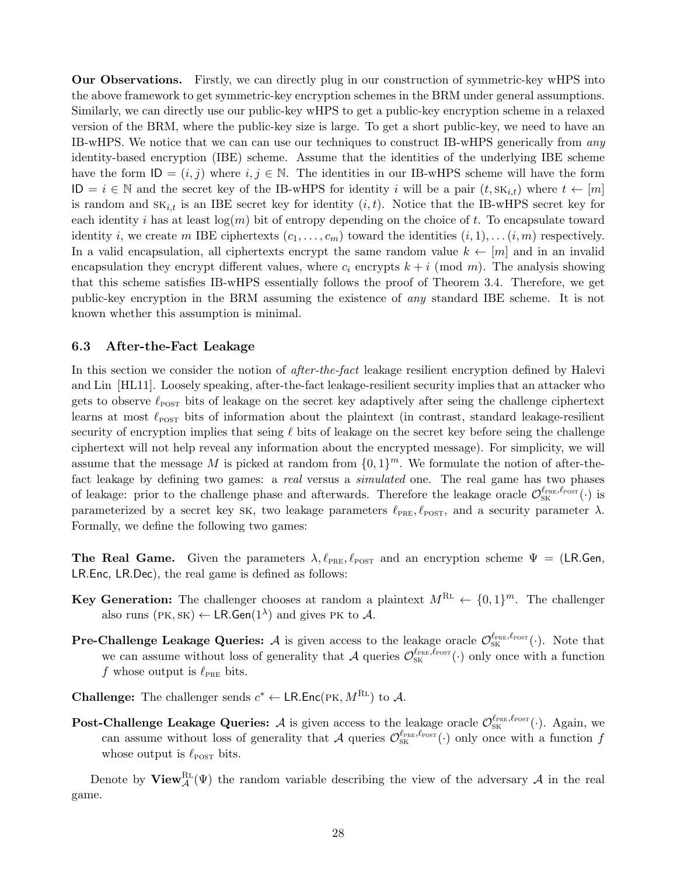**Our Observations.** Firstly, we can directly plug in our construction of symmetric-key wHPS into the above framework to get symmetric-key encryption schemes in the BRM under general assumptions. Similarly, we can directly use our public-key wHPS to get a public-key encryption scheme in a relaxed version of the BRM, where the public-key size is large. To get a short public-key, we need to have an IB-wHPS. We notice that we can can use our techniques to construct IB-wHPS generically from *any* identity-based encryption (IBE) scheme. Assume that the identities of the underlying IBE scheme have the form  $ID = (i, j)$  where  $i, j \in \mathbb{N}$ . The identities in our IB-wHPS scheme will have the form ID = *i ∈* N and the secret key of the IB-wHPS for identity *i* will be a pair (*t,* sk*i,t*) where *t ←* [*m*] is random and  $SK_{i,t}$  is an IBE secret key for identity  $(i,t)$ . Notice that the IB-wHPS secret key for each identity *i* has at least log(*m*) bit of entropy depending on the choice of *t*. To encapsulate toward identity *i*, we create *m* IBE ciphertexts  $(c_1, \ldots, c_m)$  toward the identities  $(i, 1), \ldots (i, m)$  respectively. In a valid encapsulation, all ciphertexts encrypt the same random value  $k \leftarrow [m]$  and in an invalid encapsulation they encrypt different values, where  $c_i$  encrypts  $k + i \pmod{m}$ . The analysis showing that this scheme satisfies IB-wHPS essentially follows the proof of Theorem 3.4. Therefore, we get public-key encryption in the BRM assuming the existence of *any* standard IBE scheme. It is not known whether this assumption is minimal.

### **6.3 After-the-Fact Leakage**

In this section we consider the notion of *after-the-fact* leakage resilient encryption defined by Halevi and Lin [HL11]. Loosely speaking, after-the-fact leakage-resilient security implies that an attacker who gets to observe  $\ell_{\text{POST}}$  bits of leakage on the secret key adaptively after seing the challenge ciphertext learns at most  $\ell_{\text{POST}}$  bits of information about the plaintext (in contrast, standard leakage-resilient security of encryption implies that seing *ℓ* bits of leakage on the secret key before seing the challenge ciphertext will not help reveal any information about the encrypted message). For simplicity, we will assume that the message *M* is picked at random from  $\{0,1\}^m$ . We formulate the notion of after-thefact leakage by defining two games: a *real* versus a *simulated* one. The real game has two phases of leakage: prior to the challenge phase and afterwards. Therefore the leakage oracle  $\mathcal{O}^{\ell_{\text{PRE}},\ell_{\text{POST}}}$ <sup>(</sup> $\cdot$ ) is parameterized by a secret key sk, two leakage parameters  $\ell_{PRE}$ ,  $\ell_{POST}$ , and a security parameter  $\lambda$ . Formally, we define the following two games:

**The Real Game.** Given the parameters  $\lambda$ ,  $\ell_{PRE}$ ,  $\ell_{POST}$  and an encryption scheme  $\Psi = (LR.Gen,$ LR*.*Enc*,* LR*.*Dec), the real game is defined as follows:

- **Key Generation:** The challenger chooses at random a plaintext  $M^{RL} \leftarrow \{0, 1\}^m$ . The challenger also runs ( $PK, SK$ )  $\leftarrow$  LR.Gen( $1^{\lambda}$ ) and gives PK to  $\mathcal{A}$ .
- **Pre-Challenge Leakage Queries:** *A* is given access to the leakage oracle  $\mathcal{O}^{\ell_{\text{PRE}},\ell_{\text{POST}}}_{\text{SK}}(\cdot)$ . Note that we can assume without loss of generality that *A* queries  $\mathcal{O}^{\ell_{\text{PRE}}, \ell_{\text{POST}}}_{\text{SK}}(\cdot)$  only once with a function *f* whose output is  $\ell_{PRE}$  bits.
- **Challenge:** The challenger sends  $c^* \leftarrow \textsf{LR}.\textsf{Enc}(\textsf{PK}, M^{\textsf{RL}})$  to A.
- **Post-Challenge Leakage Queries:** *A* is given access to the leakage oracle  $\mathcal{O}^{\ell_{\text{PRE}},\ell_{\text{POST}}}_{\text{SK}}(\cdot)$ . Again, we can assume without loss of generality that *A* queries  $\mathcal{O}_{SK}^{\ell_{PRE},\ell_{POST}}(\cdot)$  only once with a function *f* whose output is  $\ell_{\text{POST}}$  bits.

Denote by  $\mathbf{View}_{\mathcal{A}}^{\text{RL}}(\Psi)$  the random variable describing the view of the adversary  $\mathcal{A}$  in the real game.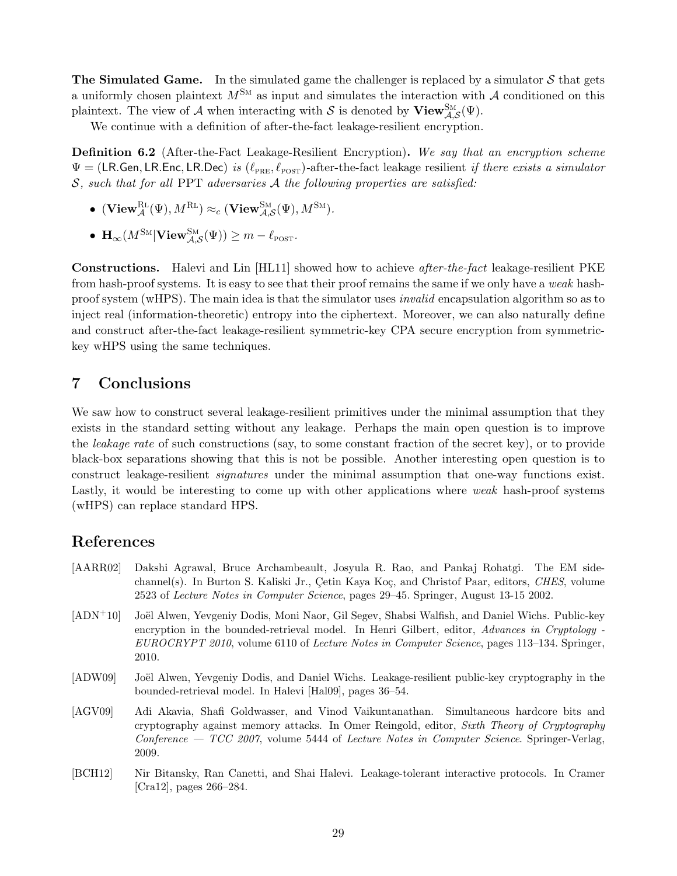**The Simulated Game.** In the simulated game the challenger is replaced by a simulator *S* that gets a uniformly chosen plaintext  $M^{SM}$  as input and simulates the interaction with A conditioned on this plaintext. The view of *A* when interacting with *S* is denoted by  $View^{\text{SM}}_{\mathcal{A},\mathcal{S}}(\Psi)$ .

We continue with a definition of after-the-fact leakage-resilient encryption.

**Definition 6.2** (After-the-Fact Leakage-Resilient Encryption)**.** *We say that an encryption scheme* Ψ = (LR*.*Gen*,* LR*.*Enc*,* LR*.*Dec) *is* (*ℓ*pre*, ℓ*post)*-*after-the-fact leakage resilient *if there exists a simulator S, such that for all* PPT *adversaries A the following properties are satisfied:*

- $\bullet$  (View $_{\mathcal{A}}^{\text{RL}}(\Psi)$ *, M*<sup>RL</sup>)  $\approx_c$  (View $_{\mathcal{A},\mathcal{S}}^{\text{SM}}(\Psi)$ *, M*<sup>SM</sup>)*.*
- $\mathbf{H}_{\infty}(M^{\text{SM}}|\textbf{View}_{\mathcal{A},\mathcal{S}}^{\text{SM}}(\Psi)) \geq m \ell_{\text{POST}}$ .

**Constructions.** Halevi and Lin [HL11] showed how to achieve *after-the-fact* leakage-resilient PKE from hash-proof systems. It is easy to see that their proof remains the same if we only have a *weak* hashproof system (wHPS). The main idea is that the simulator uses *invalid* encapsulation algorithm so as to inject real (information-theoretic) entropy into the ciphertext. Moreover, we can also naturally define and construct after-the-fact leakage-resilient symmetric-key CPA secure encryption from symmetrickey wHPS using the same techniques.

# **7 Conclusions**

We saw how to construct several leakage-resilient primitives under the minimal assumption that they exists in the standard setting without any leakage. Perhaps the main open question is to improve the *leakage rate* of such constructions (say, to some constant fraction of the secret key), or to provide black-box separations showing that this is not be possible. Another interesting open question is to construct leakage-resilient *signatures* under the minimal assumption that one-way functions exist. Lastly, it would be interesting to come up with other applications where *weak* hash-proof systems (wHPS) can replace standard HPS.

# **References**

- [AARR02] Dakshi Agrawal, Bruce Archambeault, Josyula R. Rao, and Pankaj Rohatgi. The EM sidechannel(s). In Burton S. Kaliski Jr., Çetin Kaya Koç, and Christof Paar, editors, *CHES*, volume 2523 of *Lecture Notes in Computer Science*, pages 29–45. Springer, August 13-15 2002.
- [ADN+10] Joël Alwen, Yevgeniy Dodis, Moni Naor, Gil Segev, Shabsi Walfish, and Daniel Wichs. Public-key encryption in the bounded-retrieval model. In Henri Gilbert, editor, *Advances in Cryptology - EUROCRYPT 2010*, volume 6110 of *Lecture Notes in Computer Science*, pages 113–134. Springer, 2010.
- [ADW09] Joël Alwen, Yevgeniy Dodis, and Daniel Wichs. Leakage-resilient public-key cryptography in the bounded-retrieval model. In Halevi [Hal09], pages 36–54.
- [AGV09] Adi Akavia, Shafi Goldwasser, and Vinod Vaikuntanathan. Simultaneous hardcore bits and cryptography against memory attacks. In Omer Reingold, editor, *Sixth Theory of Cryptography Conference — TCC 2007*, volume 5444 of *Lecture Notes in Computer Science*. Springer-Verlag, 2009.
- [BCH12] Nir Bitansky, Ran Canetti, and Shai Halevi. Leakage-tolerant interactive protocols. In Cramer [Cra12], pages 266–284.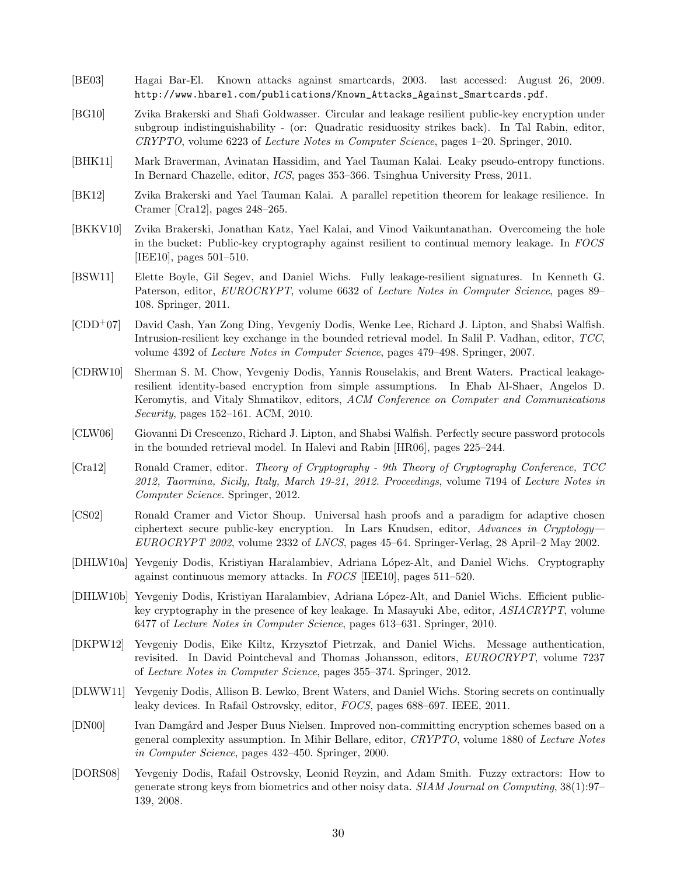- [BE03] Hagai Bar-El. Known attacks against smartcards, 2003. last accessed: August 26, 2009. http://www.hbarel.com/publications/Known\_Attacks\_Against\_Smartcards.pdf.
- [BG10] Zvika Brakerski and Shafi Goldwasser. Circular and leakage resilient public-key encryption under subgroup indistinguishability - (or: Quadratic residuosity strikes back). In Tal Rabin, editor, *CRYPTO*, volume 6223 of *Lecture Notes in Computer Science*, pages 1–20. Springer, 2010.
- [BHK11] Mark Braverman, Avinatan Hassidim, and Yael Tauman Kalai. Leaky pseudo-entropy functions. In Bernard Chazelle, editor, *ICS*, pages 353–366. Tsinghua University Press, 2011.
- [BK12] Zvika Brakerski and Yael Tauman Kalai. A parallel repetition theorem for leakage resilience. In Cramer [Cra12], pages 248–265.
- [BKKV10] Zvika Brakerski, Jonathan Katz, Yael Kalai, and Vinod Vaikuntanathan. Overcomeing the hole in the bucket: Public-key cryptography against resilient to continual memory leakage. In *FOCS* [IEE10], pages 501–510.
- [BSW11] Elette Boyle, Gil Segev, and Daniel Wichs. Fully leakage-resilient signatures. In Kenneth G. Paterson, editor, *EUROCRYPT*, volume 6632 of *Lecture Notes in Computer Science*, pages 89– 108. Springer, 2011.
- [CDD<sup>+</sup>07] David Cash, Yan Zong Ding, Yevgeniy Dodis, Wenke Lee, Richard J. Lipton, and Shabsi Walfish. Intrusion-resilient key exchange in the bounded retrieval model. In Salil P. Vadhan, editor, *TCC*, volume 4392 of *Lecture Notes in Computer Science*, pages 479–498. Springer, 2007.
- [CDRW10] Sherman S. M. Chow, Yevgeniy Dodis, Yannis Rouselakis, and Brent Waters. Practical leakageresilient identity-based encryption from simple assumptions. In Ehab Al-Shaer, Angelos D. Keromytis, and Vitaly Shmatikov, editors, *ACM Conference on Computer and Communications Security*, pages 152–161. ACM, 2010.
- [CLW06] Giovanni Di Crescenzo, Richard J. Lipton, and Shabsi Walfish. Perfectly secure password protocols in the bounded retrieval model. In Halevi and Rabin [HR06], pages 225–244.
- [Cra12] Ronald Cramer, editor. *Theory of Cryptography 9th Theory of Cryptography Conference, TCC 2012, Taormina, Sicily, Italy, March 19-21, 2012. Proceedings*, volume 7194 of *Lecture Notes in Computer Science*. Springer, 2012.
- [CS02] Ronald Cramer and Victor Shoup. Universal hash proofs and a paradigm for adaptive chosen ciphertext secure public-key encryption. In Lars Knudsen, editor, *Advances in Cryptology— EUROCRYPT 2002*, volume 2332 of *LNCS*, pages 45–64. Springer-Verlag, 28 April–2 May 2002.
- [DHLW10a] Yevgeniy Dodis, Kristiyan Haralambiev, Adriana L´opez-Alt, and Daniel Wichs. Cryptography against continuous memory attacks. In *FOCS* [IEE10], pages 511–520.
- [DHLW10b] Yevgeniy Dodis, Kristiyan Haralambiev, Adriana López-Alt, and Daniel Wichs. Efficient publickey cryptography in the presence of key leakage. In Masayuki Abe, editor, *ASIACRYPT*, volume 6477 of *Lecture Notes in Computer Science*, pages 613–631. Springer, 2010.
- [DKPW12] Yevgeniy Dodis, Eike Kiltz, Krzysztof Pietrzak, and Daniel Wichs. Message authentication, revisited. In David Pointcheval and Thomas Johansson, editors, *EUROCRYPT*, volume 7237 of *Lecture Notes in Computer Science*, pages 355–374. Springer, 2012.
- [DLWW11] Yevgeniy Dodis, Allison B. Lewko, Brent Waters, and Daniel Wichs. Storing secrets on continually leaky devices. In Rafail Ostrovsky, editor, *FOCS*, pages 688–697. IEEE, 2011.
- [DN00] Ivan Damgård and Jesper Buus Nielsen. Improved non-committing encryption schemes based on a general complexity assumption. In Mihir Bellare, editor, *CRYPTO*, volume 1880 of *Lecture Notes in Computer Science*, pages 432–450. Springer, 2000.
- [DORS08] Yevgeniy Dodis, Rafail Ostrovsky, Leonid Reyzin, and Adam Smith. Fuzzy extractors: How to generate strong keys from biometrics and other noisy data. *SIAM Journal on Computing*, 38(1):97– 139, 2008.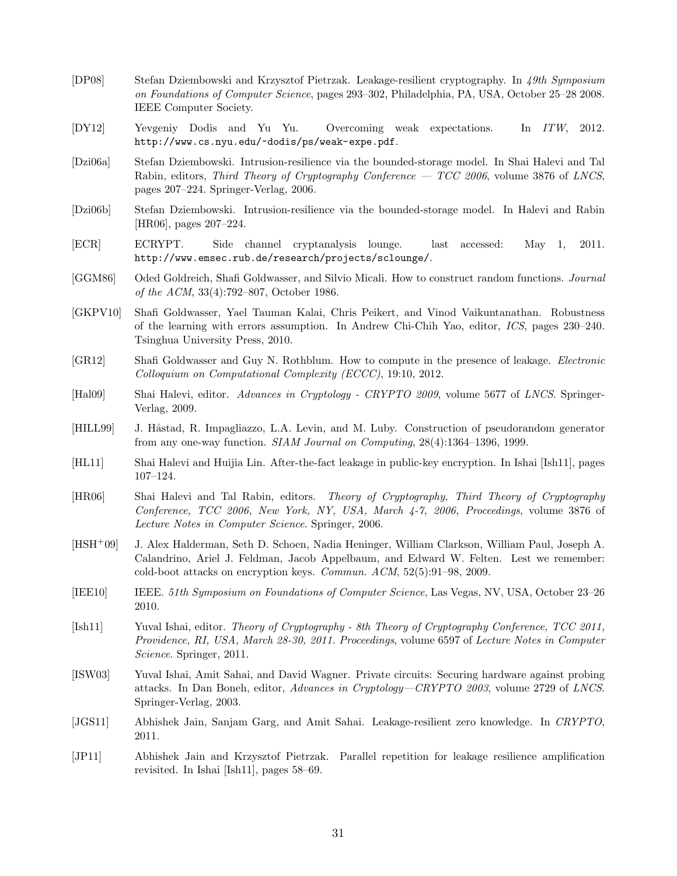- [DP08] Stefan Dziembowski and Krzysztof Pietrzak. Leakage-resilient cryptography. In *49th Symposium on Foundations of Computer Science*, pages 293–302, Philadelphia, PA, USA, October 25–28 2008. IEEE Computer Society.
- [DY12] Yevgeniy Dodis and Yu Yu. Overcoming weak expectations. In *ITW*, 2012. http://www.cs.nyu.edu/~dodis/ps/weak-expe.pdf.
- [Dzi06a] Stefan Dziembowski. Intrusion-resilience via the bounded-storage model. In Shai Halevi and Tal Rabin, editors, *Third Theory of Cryptography Conference — TCC 2006*, volume 3876 of *LNCS*, pages 207–224. Springer-Verlag, 2006.
- [Dzi06b] Stefan Dziembowski. Intrusion-resilience via the bounded-storage model. In Halevi and Rabin [HR06], pages 207–224.
- [ECR] ECRYPT. Side channel cryptanalysis lounge. last accessed: May 1, 2011. http://www.emsec.rub.de/research/projects/sclounge/.
- [GGM86] Oded Goldreich, Shafi Goldwasser, and Silvio Micali. How to construct random functions. *Journal of the ACM*, 33(4):792–807, October 1986.
- [GKPV10] Shafi Goldwasser, Yael Tauman Kalai, Chris Peikert, and Vinod Vaikuntanathan. Robustness of the learning with errors assumption. In Andrew Chi-Chih Yao, editor, *ICS*, pages 230–240. Tsinghua University Press, 2010.
- [GR12] Shafi Goldwasser and Guy N. Rothblum. How to compute in the presence of leakage. *Electronic Colloquium on Computational Complexity (ECCC)*, 19:10, 2012.
- [Hal09] Shai Halevi, editor. *Advances in Cryptology CRYPTO 2009*, volume 5677 of *LNCS*. Springer-Verlag, 2009.
- [HILL99] J. Håstad, R. Impagliazzo, L.A. Levin, and M. Luby. Construction of pseudorandom generator from any one-way function. *SIAM Journal on Computing*, 28(4):1364–1396, 1999.
- [HL11] Shai Halevi and Huijia Lin. After-the-fact leakage in public-key encryption. In Ishai [Ish11], pages 107–124.
- [HR06] Shai Halevi and Tal Rabin, editors. *Theory of Cryptography, Third Theory of Cryptography Conference, TCC 2006, New York, NY, USA, March 4-7, 2006, Proceedings*, volume 3876 of *Lecture Notes in Computer Science*. Springer, 2006.
- [HSH<sup>+</sup>09] J. Alex Halderman, Seth D. Schoen, Nadia Heninger, William Clarkson, William Paul, Joseph A. Calandrino, Ariel J. Feldman, Jacob Appelbaum, and Edward W. Felten. Lest we remember: cold-boot attacks on encryption keys. *Commun. ACM*, 52(5):91–98, 2009.
- [IEE10] IEEE. *51th Symposium on Foundations of Computer Science*, Las Vegas, NV, USA, October 23–26 2010.
- [Ish11] Yuval Ishai, editor. *Theory of Cryptography 8th Theory of Cryptography Conference, TCC 2011, Providence, RI, USA, March 28-30, 2011. Proceedings*, volume 6597 of *Lecture Notes in Computer Science*. Springer, 2011.
- [ISW03] Yuval Ishai, Amit Sahai, and David Wagner. Private circuits: Securing hardware against probing attacks. In Dan Boneh, editor, *Advances in Cryptology—CRYPTO 2003*, volume 2729 of *LNCS*. Springer-Verlag, 2003.
- [JGS11] Abhishek Jain, Sanjam Garg, and Amit Sahai. Leakage-resilient zero knowledge. In *CRYPTO*, 2011.
- [JP11] Abhishek Jain and Krzysztof Pietrzak. Parallel repetition for leakage resilience amplification revisited. In Ishai [Ish11], pages 58–69.